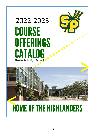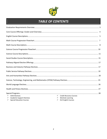

# *TABLE OF CONTENTS*

I

| $\checkmark$ AVID Electives                       | ← Credit Recovery Courses                |  |
|---------------------------------------------------|------------------------------------------|--|
| <b>Academic Support Electives</b><br>$\checkmark$ | <b>Worksite Learning</b><br>$\checkmark$ |  |
| <b>Special Education Courses</b><br>$\checkmark$  | <b>ELD English Courses</b><br>✓          |  |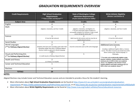# *GRADUATION REQUIREMENTS OVERVIEW*

| <b>Credit Requirements</b>                                     | <b>High School Graduation</b><br><b>Requirements</b><br>*** Class of 2021 and Beyond***                                                                            | <b>State of Washington College</b><br><b>Admission Requirements</b><br>(4-year university based on CADRs)                                                                   | <b>NCAA Athletic Eligibility</b><br>(Division I and Division II)                                                                             |
|----------------------------------------------------------------|--------------------------------------------------------------------------------------------------------------------------------------------------------------------|-----------------------------------------------------------------------------------------------------------------------------------------------------------------------------|----------------------------------------------------------------------------------------------------------------------------------------------|
| <b>Subject Area</b>                                            | <b>Credits</b>                                                                                                                                                     | <b>Credits</b>                                                                                                                                                              | <b>Credits</b>                                                                                                                               |
| English                                                        |                                                                                                                                                                    |                                                                                                                                                                             |                                                                                                                                              |
| Math                                                           | (Algebra I, Geometry, and Year 3 math)                                                                                                                             | (Algebra I, Geometry, and Algebra 2+)<br>***4-year universities expect students to<br>successfully complete Pre-Calculus or take a math<br>course during the senior year*** | (Algebra I, Geometry, and Year 3 math)                                                                                                       |
| Science                                                        | 3<br>(2 must be lab sciences)                                                                                                                                      | (both must be lab sciences and one must be an<br>algebra-based science)                                                                                                     | (1 must be a lab science)                                                                                                                    |
| <b>Social Studies</b>                                          | 3                                                                                                                                                                  |                                                                                                                                                                             | 2                                                                                                                                            |
| World Languages<br>(***or Pathway Aligned Elective)            | (Students who have post-secondary goals other than<br>attending college may select 2 Pathway Aligned<br>Elective credits as opposed to World Language<br>credits.) | $2+$<br>(must be consecutive years of the same language)                                                                                                                    | <b>Additional Core Courses:</b><br>Including 1 additional English, Math, or Science<br>course. The other 4 courses can include any of the    |
| Visual and Performing Arts<br>(***or Pathway Aligned Elective) | (1 credit may be a Pathway Aligned Elective)                                                                                                                       | $\mathbf{1}$                                                                                                                                                                | above content areas, World Language, or<br>Philosophy.<br>*** In order to be academically eligible to play                                   |
| <b>Health and Fitness</b>                                      | (1.5 Fitness, 0.5 Health)                                                                                                                                          |                                                                                                                                                                             | Division I athletics, student-athletes must hold a<br>minimum of a 2.3 GPA in their core academic                                            |
| <b>Career and Technical Education</b>                          |                                                                                                                                                                    |                                                                                                                                                                             | classes. For eligibility at the Division II level,<br>student athletes must hold a minimum of a 2.2<br>GPA in their core academic classes*** |
| Electives                                                      | 4                                                                                                                                                                  |                                                                                                                                                                             |                                                                                                                                              |
| <b>TOTALS</b>                                                  | 24                                                                                                                                                                 |                                                                                                                                                                             |                                                                                                                                              |

# **NOTES:**

Aligned Electives may include Career and Technical Education courses and are intended to provide a focus for the student's learning.

- ➢ More information about **High School Graduation Requirements** can be found a[t https://www.k12.wa.us/student-success/graduation/graduation](https://www.k12.wa.us/student-success/graduation/graduation-requirements)[requirements](https://www.k12.wa.us/student-success/graduation/graduation-requirements) at [https://weba.spokaneschools.org/PolPro/View.aspx?id=526,](https://weba.spokaneschools.org/PolPro/View.aspx?id=526) or at [http://www.sbe.wa.gov/our-work/graduation-requirements#.Unf6ZGeAol9.](http://www.sbe.wa.gov/our-work/graduation-requirements#.Unf6ZGeAol9)
- ➢ More information about **NCAA Eligibility Requirements** can be found at [http://www.ncaa.org/student-athletes/future/educational-resources.](http://www.ncaa.org/student-athletes/future/educational-resources)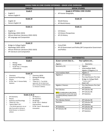| <b>SHADLE PARK HS CORE COURSE OFFERINGS - GRADE LEVEL OVERVIEW</b>                                                                                                                                                                                                                                                                                                                                                                                                                       |                                                                                                                                                                                                                                                                                                                                                                                                                                                                                                                                                                                                        |
|------------------------------------------------------------------------------------------------------------------------------------------------------------------------------------------------------------------------------------------------------------------------------------------------------------------------------------------------------------------------------------------------------------------------------------------------------------------------------------------|--------------------------------------------------------------------------------------------------------------------------------------------------------------------------------------------------------------------------------------------------------------------------------------------------------------------------------------------------------------------------------------------------------------------------------------------------------------------------------------------------------------------------------------------------------------------------------------------------------|
| <b>ENGLISH</b>                                                                                                                                                                                                                                                                                                                                                                                                                                                                           | <b>SOCIAL STUDIES</b>                                                                                                                                                                                                                                                                                                                                                                                                                                                                                                                                                                                  |
| Grade 9<br>English 9<br>$\Box$<br>Honors English 9<br>$\Box$                                                                                                                                                                                                                                                                                                                                                                                                                             | <b>Grade 9: OPTIONAL CORE COURSE</b><br>AP Human Geography<br>□                                                                                                                                                                                                                                                                                                                                                                                                                                                                                                                                        |
| Grade 10<br>English 10<br>$\Box$<br>Honors English 10<br>$\Box$                                                                                                                                                                                                                                                                                                                                                                                                                          | Grade 10<br>World History<br>$\Box$<br>AP World History<br>□                                                                                                                                                                                                                                                                                                                                                                                                                                                                                                                                           |
| Grade 11<br>English 11<br>$\Box$<br>Mythology (2022-2023)<br>□<br>African American Literature (2022-2023)<br>□<br>AP Language and Composition<br>□                                                                                                                                                                                                                                                                                                                                       | Grade 11<br><b>US History</b><br>□<br><b>US History Perspectives</b><br>□<br>AP US History<br>□                                                                                                                                                                                                                                                                                                                                                                                                                                                                                                        |
| Grade 12<br>Bridge to College English<br>$\Box$<br>Mythology (2022-2023)<br>$\Box$<br>African American Literature (2022-2023)<br>□<br>AP Literature and Composition<br>□                                                                                                                                                                                                                                                                                                                 | Grade 12<br>Civics/CWA<br>$\Box$<br>AP US Government and Politics/AP Comparative Government<br>$\Box$<br>and Politics                                                                                                                                                                                                                                                                                                                                                                                                                                                                                  |
| <b>SCIENCE</b>                                                                                                                                                                                                                                                                                                                                                                                                                                                                           | <b>MATHEMATICS</b>                                                                                                                                                                                                                                                                                                                                                                                                                                                                                                                                                                                     |
| Grade 9<br>Biology<br>□<br><b>Biology MESA</b><br>$\Box$<br>PLTW Year 1- Principles<br>$\Box$<br>of Biomed Sci<br>Grade 10<br>Chemistry<br><b>Chemistry MESA</b><br>$\Box$<br>$\Box$<br>Biology/AP Biology<br>Anatomy and Physiology<br>$\Box$<br>$\Box$<br>Physics<br>Chemistry<br>$\Box$<br>$\Box$<br>PLTW-Year 2- Human Body<br>*Plant Sci 1 (*not NCAA<br>$\Box$<br>$\Box$<br>approved- do not take if you<br>Systems<br>plan on being an NCAA Division<br>I or Division II athlete) | If your current class is<br>Your options are<br>Algebra<br>Geometry<br>$\Box$<br>Geometry (H)<br>Algebra<br>$\Box$<br>Intermediate Math<br>$\Box$<br>Algebra 2/Algebra 2 H<br>Intermediate Math<br>□ Algebra 2<br>Algebra 2<br><b>AP Statistics</b><br>$\Box$<br>Pre-Calc/Honors Pre-Calc<br>$\Box$<br><b>Bridge to College Math</b><br>$\Box$<br>**seniors only**<br>Math 107<br>□<br>Algebra 2 Honors<br>Pre-Calc/Honors Pre-Calc<br>$\Box$<br><b>AP Statistics</b><br>$\Box$<br>Pre-Calculus<br><b>AP Calculus AB</b><br>◻<br>AP Calculus BC<br>$\Box$<br>NOTE: If a student plans to take Calculus |
| Grade 11 & 12<br>AP Chemistry<br>AP Physics 1<br>$\Box$<br>□<br>Physics<br>AP Chemistry<br>$\Box$<br>$\Box$<br>Anatomy and Physiology<br><b>AP Biology</b><br>$\Box$<br>$\Box$<br>*Plant Sci 1 & 2<br>PLTW-Year 3- Medical<br>$\Box$<br>$\Box$<br>*Sports Med 1 & 2<br>Interventions<br>$\Box$<br>PLTW-Year 4- Biomedical<br>(*not NCAA approved- do not<br>$\Box$<br>take if you plan on being an<br>Innovation<br><b>NCAA Division I or Division II</b><br>athlete)                    | <b>AP Statistics</b><br>it is recommended to enroll in that course<br>$\Box$<br>immediately following completion of Pre-<br><b>Calculus</b><br>AP Calculus BC<br><b>Pre-Calculus Honors</b><br>$\Box$<br><b>Statistics</b><br><b>AP Calculus AB</b><br>$\Box$<br><b>AP Statistics</b><br>$\Box$<br><b>AP Statistics</b><br>AP Calculus AB<br>$\Box$<br>AP Calculus AB<br>AP Calculus BC<br>$\Box$<br><b>AP Statistics</b><br>$\Box$                                                                                                                                                                    |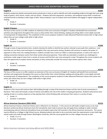# **English 9 #1201**

Students analyze key details and pivotal words and phrases in texts as well as identify and craft compelling evidence through their year-long study of poetry, short stories, novels, and non-fiction. Students will write arguments, narratives, and analytical essays both in timed and untimed formats to develop a wide range of skills. Heavy emphasis is put on analysis work and students will engage in regular independent reading.

- ✓ Grade: 9
- ✓ Duration: 2 semesters

# **English 9 Honors #1251**

The focus of this course is to offer students an extension of the core curriculum of English 9. Students will benefit from enrichment activities and assignments throughout the course as they further their critical thinking, reading and writing skills in more depth and with increasing levels of independence. The completion of this course prepares students to take Advanced Placement classes later in high school where they can earn college credit while in high school.

- ✓ Grade: 9
- ✓ Duration: 2 semesters

# **English 10 #1203**

Through a study of argumentative texts, students develop the ability to identify how authors attempt to persuade their audiences—and how they can use those same techniques to strengthen their own persuasive writing. Students will continue to explore the power of argument as they move into reading literature; students consider how a work can reflect a cultural perspective, as well as the value of making connections between works from those varied cultural perspectives. These skills are extended as students are challenged to synthesize a wide range of views from a variety of sources and find their own voice among the crowd. Throughout the course students will have the opportunity to explore drama and poetry as they continually consider the various ways writers express their voices.

- ✓ Grade: 10
- ✓ Duration: 2 semesters

# **English 10 Honors #1253**

The focus of this course is to offer students an extension of the core curriculum of English 10. Students will benefit from enrichment activities and assignments throughout the course as they further their critical thinking, reading and writing skills in more depth and with increasing levels of independence. The completion of this course prepares students to take Advanced Placement classes their junior and senior year where they can earn college credit while in high school.

- $\checkmark$  Grade: 10
- ✓ Duration: 2 semesters

# **English 11 #1205**

Students in this course will continue their skill-building through a study of the American Dream and the role of social commentary in literature. Their work will include a study of rhetoric and address the role of the media in shaping perspectives. Students will practice close reading of texts in a variety of genres as they develop their critical thinking skills and present their voices in a variety of ways.

- ✓ Grade: 11
- ✓ Duration: 2 semesters

# **African American Literature (2022-2023) #1215**

African American history is American history and is reflected in our literature. In this course we will tackle complex issues as we read literature written by African Americans from the transatlantic slave trade to present day and apply those readings to wider contexts encompassing cultural, historical and political issues and explore topics that still resonate in the African American community. This course may be offered as a College in High School course, allowing students who elect to do so and who meet the requirements to earn both high school credit and credit through Eastern Washington University, with the course grade then on their college transcript as well.

- $\checkmark$  Grade: 11 or 12
- Duration: 2 semesters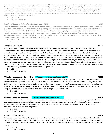*This year-long English elective is an exciting opportunity to learn about Native American history, literature, culture, and language as well as its influence on Western society. The course is designed to introduce critical issues and questions that influence literary imagination of both past and contemporary Native American writers and scholars such as colonization, stereotypes, historical context, and issues of justice. The class provides a safe environment to grapple with challenging topics and questions about our past and present as well as how it influences our identity as a society. We will explore poetry, fiction, orations and critical essays by Native people in order to examine how these authors use their work to make political statements, address/redress historical subjects, and represent their Native communities.*

- ✓ *Grade: 11 or 12*
- ✓ *Duration: 2 semesters*

# *Creative Writing (not being offered until the 2023-2024) #1272*

*Creative writers fall in love with writing while developing a learning community that continuously supports each student's craft. Close study of published writers adds to the student's repertoire of reading and writing skills that strengthens their overall performance in all classes. This exploratory class enables students to develop their original ideas into narrative poetry, enhanced short stories with contrived coincidences, scenes and monologues for the stage, escape rooms puzzles, analytical essays, narrative college admission essays, and thematic anthologies for example. Students learn to pitch their authentic ideas to a potential publisher. The culmination of the course is a complete self-published collection of his/her writing for the year.* 

- ✓ *Grade: 11 or 12*
- ✓ *Duration: 2 semesters*

# **Mythology (2022-2023) #1274**

In this class students explore myths from various cultures around the world, including, but not limited to the classical mythology from Greece and Rome. Students examine portrayals of creation, gods/ goddesses, heroes and monsters while continuing to expand their use and understanding of reading, writing, and MLA research skills. Students will benefit by becoming literate in mythological allusions, archetypes and inferences in the ancient and modern world. Students practice the course of civil discourse during our Socratic discussions of different belief systems and their purpose to cultural development. Because the study of mythology offers a link between the culture of the mythmaker and our present culture, students are constantly being asked to understand not only what but why, to build content but also to make connections and draw conclusions about the function of myth in ancient times and the function of myth in our modern world. With a curriculum built to address the Common Core State Standards, this course develops the opportunities to challenge the thinking skills and offer the learning experiences students need beyond high school.

- Grade: 11 or 12
- ✓ Duration: 2 semesters

## **AP English Language and Composition** *\*\*\*opportunity to earn college credit\*\*\** **#1255**

The Advanced Placement English Language and Composition will engage students in becoming skilled readers of primarily nonfiction prose written in a variety of periods, disciplines, and rhetorical contexts and in becoming skilled writers who compose for a variety of purposes. Both their writing and reading will make students aware of the interactions among a writer's purposes, audience expectations, and subjects as well as the way generic conventions and the resources of language contribute to effectiveness in writing. Students may elect, in the spring, to take the College Board Advanced Placement Exam in Language and Composition.

- ✓ Grade: 11
- ✓ Duration: 2 semesters

# **AP English Literature and Comp** *\*\*\*opportunity to earn college credit\*\*\** **#1257**

This course, comparable to an introductory college literature course, teaches careful reading and critical analysis of imaginative literature from various cultures and time periods. Composition assignments include paragraphs, timed essays, formal essays (personal, expository, and argumentative), and a literary analysis research paper. Students may elect, in the spring, to take the College Board Advanced Placement Exam in Literature and Composition.

- ✓ Grade: 12
- ✓ Duration: 2 semesters

# **Bridge to College English #1209**

This course focuses on the English Language Arts key readiness standards from Washington State's K-12 Learning Standards for English Language Arts (the Common Core State Standards, CCSS-ELA). The course is designed to prepare students for entrance into post-secondary credit-bearing courses. The course addresses lessons in critical reading, academic writing, speaking and listening, research and inquiry, and language use.

- ✓ Grade: 12
- Duration: 2 semesters

6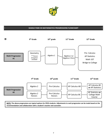

# **SHADLE PARK HS MATHEMATICS PROGRESSIONS FLOWCHART**



**NOTE: The above progressions are typical options for SPHS students. Adjustments to each progression can be made based on the recommendation and collaboration with a student's teacher and counselor.**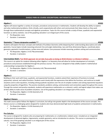# **SHADLE PARK HS COURSE DESCRIPTIONS: MATHEMATICS OFFERINGS**

# **Algebra 1 #3303**

Algebra will weave together a variety of concepts, procedures and processes in mathematics. Students will develop the ability to explore and solve mathematical problems, think critically, work cooperatively with others and communicate their ideas clearly as they work through these mathematical concepts and algebraic procedures. Topics for this course include a study of linear, quadratic and exponential functions as well as statistics. Use of the graphing calculator is an integral part of this course.

- ✓ Pre-Requisites: none
- ✓ Duration: 2 semesters

# **Geometry** *\*\*\*honors designation available\*\*\** **#3306**

Students will explore the basic concepts and methods of Euclidean Geometry while deepening their understanding about plane and solid geometry. Course topics include reasoning and proof, line and angle relationships, two and three dimensional figures, coordinate plane geometry, geometric transformations, surface area and volume. Core processes include reasoning, problem solving and communication.

- ✓ Pre-Requisites: Algebra 1 A-B *(\*Recommended)*
- ✓ Duration: 2 semesters

# **Intermediate Math** *(\*not NCAA approved- do not take if you plan on being an NCAA Division I or Division II athlete)* **#3331**

This course is an option for students following either Algebra 1 or Geometry that will allow for further development of concepts, procedures and processes established through the previous courses. This course is designed to help solidify student's mathematical understanding in preparation for Algebra 2.

- ✓ Pre-Requisites: Algebra 1 A-B or Geometry A-B *(\*Recommended)*
- ✓ Duration: 2 semesters

# **Algebra 2 #3352**

Building on their work with linear, quadratic, and exponential functions, students extend their repertoire of functions to include polynomial, rational, and radical functions. Students work closely with the expressions that define the functions, and continue to model situations and to solve equations, including solving quadratic equations over the set of complex numbers and solving exponential equations using the properties of logarithms. The practice standards; problems solving, communication and connections apply throughout this course. Through the content and practice standards, students will experience mathematics as a coherent, useful, and logical subject that makes use of their ability to make sense of problem situations. Use of the graphing calculator is an integral part of this course.

- ✓ Pre-Requisites: Algebra 1 A-B & Geometry A-B
- ✓ Duration: 2 semesters

# **Algebra 2 Honors #3354**

This math course option follows the Algebra 2 curriculum, but will go into greater depth in the development of the course concepts. This Honors course is a challenging option designed for students who have demonstrated high levels of academic achievement in mathematics.

- ✓ Pre-Requisites: Algebra 1 A-B & Geometry A-B
- ✓ Duration: 2 semesters

## **Pre-Calculus #3831**

The course is designed for students who are preparing for mathematics or a mathematics-related career. Included are an integrated development of advanced algebra, trigonometry, analytic geometry, and an introduction to calculus. This course is a prerequisite to calculus. Use of the graphing calculator is an integral part of this course.

- $\checkmark$  Pre-Requisites: Algebra 2 A-B
- ✓ Duration: 2 semesters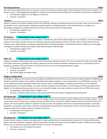### **Pre-Calculus Honors #3835**

This math course option follows the Pre-Calculus curriculum, but will go into greater depth in the development of the course concepts. This Honors course is a challenging option designed for students who have demonstrated high levels of academic achievement in mathematics.

- ✓ Pre-Requisites: Algebra 2 A-B or Algebra 2 A-B Honors
- ✓ Duration: 2 semesters

### **Statistics \_\_\_\_\_\_\_\_\_\_\_\_\_\_\_\_\_\_\_\_\_\_\_\_\_\_\_\_\_\_\_\_\_\_\_\_\_\_\_ #3870**

Statistics students to the major concepts and tools for collecting, analyzing, and drawing conclusions from data. There are four themes in the Statistics course: exploring data, sampling and experimentation, anticipating patterns, and statistical inference. Students use technology, investigations, problem solving, and writing as they build conceptual understanding.

- $\checkmark$  Pre-Requisites: Algebra 2 A-B
- ✓ Duration: 2 semesters

### **AP Statistics** *\*\*\*opportunity to earn college credit\*\*\** **#3860**

The AP Statistics course is equivalent to a one-semester, introductory, non-calculus-based college course in statistics. The course introduces students to the major concepts and tools for collecting, analyzing, and drawing conclusions from data. There are four themes in the AP Statistics course: exploring data, sampling and experimentation, anticipating patterns, and statistical inference. Students use technology, investigations, problem solving, and writing as they build conceptual understanding.

- $\checkmark$  Pre-Requisites: Algebra 2 A-B
- ✓ Duration: 2 semesters

### **Math 107** *\*\*\*opportunity to earn college credit\*\*\** **#3840**

Students will explore mathematical topics and concepts anchored in workplace contexts. The course includes the study of sets, basic logic, truth tables, elementary probability and statistics, geometry and the connections between mathematics and art, exponential functions, logarithms, geometric series and finance. The spirit of the course is one of reasoning and problem solving.

- $\checkmark$  Pre-Requisites: Algebra 2 A-B
- ✓ Duration: 2 semesters
- ✓ Non-STEM College Level Math Credit

### **Bridge to College Math #3345**

The Bridge to College course focuses on the key readiness standards from the Common Core as well as the eight Standards of Mathematical Practices needed for students to be ready to undertake postsecondary academic or career preparation in non-STEM fields or majors. The course addresses standards throughout high school and even earlier, including Algebra I, Statistics and Geometry, and the Algebra II standards agreed to as essential college- and career-readiness standards for most students. The full range of content standards found in Algebra II is not addressed because some are not seen as essential college- and career-readiness standards for non-STEM math courses.

- ✓ Pre-Requisites: Intermediate Math or Algebra 2 A-B
- ✓ Duration: 2 semesters (2nd semester is the only semester that counts toward college level math placement)

## **AP Calculus AB** *\*\*\*opportunity to earn college credit\*\*\** **#3505**

AP Calculus AB is roughly equivalent to a first semester college calculus course devoted to topics in differential and integral calculus. The AP course covers topics in these areas, including concepts and skills of limits, derivatives, definite integrals, and the Fundamental Theorem of Calculus. The course teaches students to approach calculus concepts and problems when they are represented graphically, numerically, analytically, and verbally, and to make connections amongst these representations. Students learn how to use technology to help solve problems, experiment, interpret results, and support conclusions.

- $\checkmark$  Pre-Requisites: Pre-Calculus A-B
- ✓ Duration: 2 semesters

# **AP Calculus BC** *\*\*\*opportunity to earn college credit\*\*\** **#3507**

Explore the key concepts, methods, and applications of single-variable calculus including all topics covered in AP Calculus AB (functions, graphs, and limits, derivatives, integrals, and the Fundamental Theorem of Calculus) as well as additional topics in differential and integral calculus, such as parametric, polar and vector functions, and series. Pre-Requisites:

- ✓ Pre-Calculus A-B or Pre-Calculus A-B Honors
- ✓ Duration: 2 semesters

9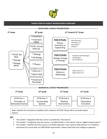

# **SHADLE PARK HS SCIENCE PROGRESSIONS FLOWCHART**



**KEY:**

- The symbol \* designates that this course is considered a "lab science".
- The symbol \*\* designates that this course is considered both a "lab science" and an "algebra based science".
- The symbol + indicates that this course is not NCAA approved. If you aspire to play Division I or II athletics, know that this course does not fulfill NCAA requirements. Please check with your college on approval.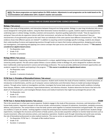**NOTE: The above progressions are typical options for SPHS students. Adjustments to each progression can be made based on the recommendation and collaboration with a student's teacher and counselor.**

# **SHADLE PARK HS COURSE DESCRIPTIONS: SCIENCE OFFERINGS**

### **Biology** *(\*lab science)* **#5445**

Biology is the study of living systems, and interactions between living and non-living systems. Biology is a year-long introductory lab science course designed for ninth grade students. Using the Next Generation Science Standards as a guide, students explore essential questions underlying topics in cellular biology, heredity, evolution and ecosystems. Questions guiding exploration include: "How do organisms live and grow? How and why do organisms interact with their environment, and what are the effects of these interactions? How are characteristics of one generation passed to the next? How can individuals of the same species have different characteristics?" And, "What evidence shows that different species are related?" In addition to acquiring content knowledge specific to biology, students also deepen their understanding of science and engineering practices through hands-on inquiry that involves asking questions, designing and carrying out investigations, and exploring and applying core science concepts that span across and unify all disciplines of science. \*\*\**This course is considered an algebra-based science.* 

- ✓ Pre-Requisites: none
- $\checkmark$  Grade: 9-10
- ✓ Duration: 2 semesters

## **Biology MESA** *(\*lab science)* **#5321**

MESA (Mathematics, Engineering, and Science Achievement) is a unique, applied biology course the district and Washington State University jointly operate. This lab science option follows a course syllabus similar to Biology A-B, and is designed for students who have been traditionally underrepresented in science and technology professions. The course provides additional enrichment opportunities and academic support for students participating in the program. \*\*\**This course is considered an algebra-based science.* 

- ✓ Pre-Requisites: none
- ✓ Grade: 9
- ✓ Duration: 2 semesters Graduation

## **PLTW Year 1- Principles of Biomedical Science** *(\*lab science)* **#5307**

This is the first year in a potentially four-year course sequence. Student work involves the study of human medicine, research processes, an introduction to bioinformatics, and the use of computer science mathematics and information theory to model and analyze biological systems. Through active, hands on investigations and labs, investigate the human body systems and various health conditions including: heart disease, diabetes, sickle-cell disease, hypercholesterolemia, and infectious diseases. Students determine the factors that led to the death of a fictional person's, and investigate lifestyle choices and medical treatments that might have prolonged the person's life.

- ✓ Pre-Requisites: none
- ✓ Grade: 9-10
- ✓ Duration: 2 semesters

# **PLTW Year 2- Human Body Systems** *(\*lab science)* **#5309**

This is the second year in a four-year course sequence. Students engage in the study of the processes, structures, and interactions of the human body systems. Important concepts in the course include: communication, transport of substances, locomotion, metabolic processes, defense, and protection. The central theme is how the body systems work together to maintain homeostasis and good health. The systems are studied as 2"parts of a whole," working together to keep the amazing human machine functioning at an optimal level. Students design experiments, investigate the structures and functions of body systems, and use data acquisition software to monitor body functions such as muscle movement, reflex and voluntary actions, and respiratory operations. Students work through interesting real-world cases and play the role of biomedical professionals to solve medical mysteries. This course carries an equivalency with Anatomy and Physiology.

- $\checkmark$  Pre-Requisites: PLTW Year 1 Principals of Bio-medical Science
- $\checkmark$  Grade: 9-10
- ✓ Duration: 2 semesters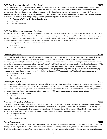### **PLTW Year 3- Medical Interventions** *(\*lab science)* **#5347**

This is the third year in a four year sequence. Students investigate a variety of interventions involved in the prevention, diagnosis and treatment of disease as they follow the life of a fictitious family. This course is a how to manual for maintaining overall health and homeostasis in the body. Students explore how to prevent and fight infection; screen and evaluate the code in human DNA; prevent, diagnose and treat cancer; and prevail when the organs of the body begin to fail. Through these scenarios, students are exposed to a range of interventions related to immunology, surgery, genetics, pharmacology, medical devices, and diagnostics.

- $\checkmark$  Pre-Requisites: PLTW Year 2 Human Body Systems
- ✓ Grade: 11-12
- ✓ Duration: 2 semesters

### **PLTW Year 4-Biomedical Innovation** *(\*lab science)*

In Biomedical Innovation (BI), the final course of the PLTW Biomedical Science sequence, students build on the knowledge and skills gained from previous courses to design innovative solutions for the most pressing health challenges of the 21st century. Students address topics ranging from public health and biomedical engineering to clinical medicine and physiology. They have the opportunity to work on an independent project with a mentor or advisor from a university, medical facility, or research institution.

- $\checkmark$  Pre-Requisites: PLTW Year 3 Medical Interventions
- ✓ Grade: 11-12
- ✓ Duration: 2 semesters

### **Chemistry** *(\*lab science)* **#5311**

Chemistry is the study of the properties of matter and its interactions. Chemistry is a year-long introductory lab science course designed for students after their freshman year. Using the Next Generation Science Standards as a guide, students explore essential questions underlying topics including the structure and properties of matter and chemical reactions. Questions guiding exploration include: "How can one explain the structure, properties and interactions of matter?" And "How is energy in chemical reactions transferred and conserved?" In addition to acquiring content knowledge specific to chemistry, students also deepen their understanding of science and engineering practices through hands-on inquiry that involves asking questions, designing and carrying out investigations, and exploring and applying core science concepts that span across and unify all disciplines of science. \*\*\**This course is considered an algebra-based science.*

- $\checkmark$  Pre-Requisites: Algebra 1 A-B
- $\checkmark$  Grade: 9-12
- ✓ Duration: 2 semesters

### **Chemistry MESA** *(\*lab science)* **#5323**

Chemistry MESA (Mathematics, Engineering, and Science Achievement) is a unique, applied chemistry course the district and Washington State University jointly operate. This lab science option follows a course syllabus similar to Chemistry A-B, and is designed for students who have been traditionally underrepresented in science and technology professions. The course provides additional enrichment opportunities and academic support for students participating in the program. \*\*\**This course is considered an algebra-based science.* 

- $\checkmark$  Pre-Requisites: Algebra 1 A-B
- $\checkmark$  Grade: 9-10
- ✓ Duration: 2 semesters

## **Anatomy and Physiology** *(\*lab science)* **#5203**

This course involves an in-depth study of the structure and function of the human body. Students learn how anatomy and physiology are interrelated and how the body maintains internal balance. Various human body systems are studied in depth at both the microscopic and macroscopic levels. This course involves hands-on investigations, including dissections. This course should be of high interest to students who are considering health science careers or who simply want a deeper understanding of the biology of the human body.

- ✓ Pre-Requisites: Biology
- $\checkmark$  Grade: 10-12
- ✓ Duration: 2 semesters

### **Physics** *(\*lab science)* **#5511**

This introductory course builds on the physics concepts learned by students in prior grades, and extends their understanding of these ideas through scientific inquiry. Course content focuses on concepts related to matter, energy, forces, and motion. Emphasis is placed on developing understanding of scientific principles. Students will learn through laboratory investigations that engage them actively in solving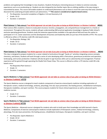problems and applying their knowledge to new situations. Students find physics interesting because it relates to common everyday experiences such as an accelerating car. Students are also intrigued by less familiar topics like an orbiting satellite or the way energy is transmitted by waves. This course will enable students to understand phenomena such as these in much the same way that early scientists discovered the underlying principles behind such phenomena. \*\*\**This course is considered an algebra-based science.*

- ✓ Pre-Requisites: Successful completion of Algebra I A-B and Geometry A-B
- $\checkmark$  Grade: 10-12
- ✓ Duration: 2 semesters

### **Plant Science 1** *(\*lab science) (\*not NCAA approved- do not take if you plan on being an NCAA Division I or Division II athlete)* **#8241**

Plant science offers students a chance to study plant structure, function, propagation, soil, and greenhouse management in a hands on environment. Throughout this course, students will gain understanding AND practical application knowledge in Spokane Public School's exclusive operating greenhouse. Students study the extensive opportunities available in the agricultural field and have the option to participate in F.F.A. Career awareness and the development of business and leadership skills are just two of the benefits of FFA. This course is offered as either a CTE elective credit OR a lab-based science.

- $\checkmark$  Pre-Requisites: Biology 1 & 2
- $\checkmark$  Grade: 10-12
- ✓ Duration: 2 semesters

### **Plant Science 2** *(\*lab science) (\*not NCAA approved- do not take if you plan on being an NCAA Division I or Division II athlete)* **#8243**

This class is designed to prepare students for a career related to horticulture through "hands on" activities integrating science concepts, chemistry, and botany. Students will work through a series of units developing skills in floriculture, greenhouse production and operation, landscaping, and nursery production. Emphasis will also be given to agri-business skills such as salesmanship and management. Practical experience will be gained through operating the Shadle Park Flower Shop. This course is offered as either a CTE elective credit OR a labbased science.

Pre-Requisites:Plant Science 1

- ✓ Grade: 11
- ✓ Duration: 2 semesters

# **Sports Medicine 1** *(\*lab science) (\*not NCAA approved- do not take as science class if you plan on being an NCAA Division I or Division II athlete) #7772*

The Sports Medicine course is designed to teach students components of exercise science/sports medicine including exploration of therapeutic careers, medical terminology, anatomy, physiology, first aid, injury prevention, the healing process, rehabilitation techniques, therapeutic modalities, and sport nutrition. This course prepares students for future clinical experiences as well as advanced sports medicine courses.

- $\checkmark$  Grade: 9-12
- ✓ Duration: 2 semesters

# **Sports Medicine 2** *(\*lab science) (\*not NCAA approved- do not take as science class if you plan on being an NCAA Division I or Division II athlete) #7776*

The Sports Medicine – Advanced course is designed for students who wish to build upon their knowledge and skills learned in Sports Medicine. Components of exercise science/sports medicine include exploration of therapeutic careers, medical terminology, anatomy, physiology, first aid, injury prevention, the healing process, rehabilitation techniques, therapeutic modalities, and sport nutrition.

- ✓ Pre-Requisites: Sports Medicine 1
- $\checkmark$  Grade: 10-12
- ✓ Duration: 2 semesters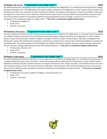## **AP Biology** *(\*lab science)**\*\*\*opportunity to earn college credit\*\*\** **#5207**

This Advanced Placement (AP) Biology course is approved and certified by the College Board. It is intended to be the equivalent of a college level general biology course. AP Biology follows the program syllabus outlined by the College Board, in which students study concepts in the following major topic areas: molecules and cells; heredity and evolution; and organisms and populations. Students participate in laboratory investigations as a part of their course experience, and will have the opportunity to develop scientific reasoning abilities and inquiry skills. This course prepares students to successfully complete the advanced placement exam in biology. A score of 4 or 5 on the AP exam is accepted by many cooperating colleges for college credit. \*\*\*This course is considered an algebra-based science.

- ✓ Pre-Requisites: Biology A-B
- $\checkmark$  Grade: 10-12
- ✓ Duration: 2 semesters

## **AP Chemistry** *(\*lab science)**\*\*\*opportunity to earn college credit\*\*\** **#5313**

This year-long Advanced Placement (AP) Chemistry course is approved and certified by the College Board. It is intended to be the equivalent of a college level general chemistry course. AP Chemistry follows the program syllabus outlined by the College Board, in which students explore a range of advanced topics related to inorganic and organic chemistry. Students will participate in laboratory investigations that develop their inquiry skills and laboratory techniques, and will have an opportunity to enhance their mathematical abilities by working with quantitative data. This course provides a critical foundation for students interested in medicine, pharmacy, physical therapy, veterinarian sciences, chemistry, biology, engineering and other STEM related disciplines. \*\*\**This course is considered an algebra-based science.*

- $\checkmark$  Pre-Requisites: Chemistry A-B
- ✓ Grade: 10-12
- ✓ Duration: 2 semesters

## **AP Physics 1** *(\*lab science)**\*\*\*opportunity to earn college credit\*\*\** **#5517**

This year-long Advanced Placement (AP) Physics course is approved and certified by the College Board. It is intended to be the equivalent of a college level general physics course. AP Physics 1 follows the program syllabus outlined by the College Board, in which students explore Newtonian mechanics (including rotational dynamics and angular momentum); work, energy, and power; and mechanical waves and sound, and introductory electric circuits. The course is based on six Big Ideas, which encompass core scientific principles, theories, and processes that cut across traditional science boundaries and provide a broad way of thinking about the physical world. \*\*\**This course is considered* 

### *an algebra-based science.*

- ✓ Pre-Requisites: Successful completion of Algebra I A-B and Geometry A-B
- $\checkmark$  Grade: 10-12
- Duration: 2 semesters

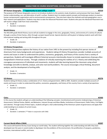# **SHADLE PARK HS COURSE DESCRIPTIONS: SOCIAL STUDIES OFFERINGS**

# **AP Human Geography** *\*\*\*opportunity to earn college credit\*\*\** **#2310**

The purpose of AP Human Geography course is to introduce students to the systemic study of patterns and processes that have shaped human understanding, use, and altercation of earth's surface. Students learn to employ spatial concepts and landscape analysis to examine human socioeconomic organization and its environmental consequences. They also learn about the methods and tools geographers use in their research and applications. Students may elect to take the Advanced Placement exam. Students who pass the Advanced Placement test will receive college credit from most universities.

- ✓ Grade: 9
- ✓ Duration: 2 semesters

# **World History #2203**

The 9th/10th grade World History course will ask students to engage in the civics, geography, history, and economy of a variety of cultures through a variety of time frames, often through a project-based format. Special attention will be given to helping students work with their informational reading and writing skills throughout the year.

- ✓ Grade: 10
- ✓ Duration: 2 semesters

# **US History Perspectives #2317**

US History Perspectives explores the history of our nation from 1491 to the present by including first-person stories of Americans from many backgrounds and experiences. Students taking US History Perspectives consider multiple accounts of events and issues in order to understand the politics, economics, geography, and history of this country from a variety of perspectives. Students will investigate different historical accounts intentionally chosen to include experiences of groups often marginalized in American society. Through a balance of critically examining the realities of U.S. History and celebrating the courageous perseverance of individuals and movements, students will take learning beyond the classroom using school knowledge and skills to identify, analyze, and solve real-world problems. The course encourages critical thinking, document analysis, and the development of writing skills.

- Grade: 11
- Duration: 2 semesters

## **US History #2276**

Students taking US History study a combination of U.S. history and government, 1890 to 2001. Students consider multiple accounts of events and issues in order to understand the politics, economics, geography, and history of this country from a variety of perspectives.

- ✓ Grade: 11
- ✓ Duration: 2 semesters

**Civics #2303** In this course the students will gain an understanding of the following concepts: Constitutional and Economic Underpinnings of American Government, Political Parties, Beliefs, and Behaviors, Interest Groups and Mass Media, Institutions of Government, Public Policy, Civil Rights and Liberties. Through study of these topics, students will gain a vital understanding of the American system of governance and apply their understanding to an analysis of current issues.

✓ Grade: 12

✓ Duration: 1 semester *(\*\*\*taken in conjunction with CWA)*

## **Current World Affairs (CWA) #2207**

This course will examine the key issues facing our world today. The student will bring together the understanding and skills they have developed over the years in social studies to dig deeper into the problems of the environment, the proliferation of weapons, pandemics, terrorism, international conflict, and more.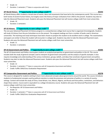✓ Duration: 1 semester *(\*\*\*taken in conjunction with Civics)*

# **AP World History** *\*\*\*opportunity to earn college credit\*\*\** **#2243**

AP World History offers students a broad view of events, ideas and movements that have led to the contemporary world. This course has a brief review of ancient human history, but largely covers the history of major civilizations from 1450 to the present. Students may elect to take the Advanced Placement exam. Students who pass the Advanced Placement test will receive college credit from most universities.

- ✓ Grade: 10
- ✓ Duration: 2 semesters

# **AP US History** *\*\*\*opportunity to earn college credit\*\*\** **#2255**

The one-year Advanced Placement US History program is a comprehensive college-level course that is organized chronologically. Students will study US History from the pre-Columbian era to the present. The assigned readings are from a number of books used in American universities. The teaching and study techniques have been chosen to prepare the student to do excellent work in college. The examinations and papers are similar to those the student will encounter in college work. Students may elect to take the Advanced Placement exam. Students who pass the Advanced Placement test will receive college credit from most universities.

- ✓ Grade: 11
- ✓ Duration: 2 semesters

# **AP US Government and Politics** *\*\*\*opportunity to earn college credit\*\*\** **#2305**

The AP US Government and Politics course gives students an analytical perspective on government and politics in the US. This course includes both the study of general concepts used to interpret US government and politics and the analysis of specific examples. It also requires knowledge and understanding of the various institutions, groups, beliefs, and ideas that constitute US government and politics. Students may elect to take the Advanced Placement exam. Students who pass the Advanced Placement test will receive college credit from most universities.

- ✓ Grade: 12
- ✓ Duration: 1 semester *(\*\*\*taken in conjunction with AP Comparative Government and Politics)*
- $\checkmark$  Credit: Fulfills CWA/Civics Graduation Requirement

# **AP Comparative Government and Politics** *\*\*\*opportunity to earn college credit\*\*\** **#2278**

This course is designed for students wishing to learn more advanced concepts about governments around the world. This course introduces students to fundamental concepts used by political scientists to study the processes and outcomes of politics in a variety of country settings. Content will include the study of China, Great Britain, Iran, Mexico, Nigeria, and Russia and how politics, institutions, and behaviors shape these nations. Course work is equivalent to a college introductory course. Students who pass the Advanced Placement test will receive college credit from most universities.

- $\checkmark$  Pre-Requisite: AP US Government and Politics
- ✓ Grade: 12
- ✓ Duration: 1 semester *(\*\*\*taken in conjunction with AP US Government and Politics)*
- ✓ Credit: Fulfills CWA/Civics Graduation Requirement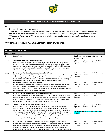

## **SHADLE PARK HIGH SCHOOL PATHWAY ALIGNED ELECTIVE OFFERINGS**

**KEY:** 

**→** means this course has a pre-requisite

*\*\*\*Zero Hour\*\*\** means this course is held before school @ 7:00am and students are responsible for their own transportation

*\*\*\*Audition Only\*\*\** means students must audition to be enrolled in the course and for any associated performances as well *\*\*\*Audition for Performances\*\*\** means students enrolled in course may be required to audition for specific performances outside of the school day

**\*\*\*\*\*NOTE:** ALL COURSES ARE *YEAR-LONG ELECTIVES* UNLESS OTHERWISE NOTED.

### **BUSINESS AND INDUSTRY**

| <b>Manufacturing</b> |                                                                                                                                                                                                                                                                                                                                                                                                                                                                                                                                                                                                                                                                                       |                                                                                    |                              |                                                                                               |
|----------------------|---------------------------------------------------------------------------------------------------------------------------------------------------------------------------------------------------------------------------------------------------------------------------------------------------------------------------------------------------------------------------------------------------------------------------------------------------------------------------------------------------------------------------------------------------------------------------------------------------------------------------------------------------------------------------------------|------------------------------------------------------------------------------------|------------------------------|-----------------------------------------------------------------------------------------------|
| #                    | <b>Course Title</b>                                                                                                                                                                                                                                                                                                                                                                                                                                                                                                                                                                                                                                                                   | <b>ELECTIVE credit)</b>                                                            |                              | Credit that can be earned (*other than                                                        |
| 7561                 | <b>Manufacturing/Materials Processing-Woods</b><br>Wood is often considered the "master" building material. The first thing you made and<br>viewed with pride was probably constructed with this material. This course will introduce<br>you to the machines used to make fabricating with wood easier. Students will learn safety<br>procedures, methods of construction to assist in engineering the maximum strength, and<br>utility of composite projects for the minimum expenditure of time and cost.                                                                                                                                                                           | $\boxtimes$ CTE<br>$\Box$ Fitness/PE $\Box$ Health<br>$\Box$ Science               | $\Box$ Arts                  | $\Box$ World Language<br>$\Box$ Math                                                          |
| 7568                 | Advanced Manufacturing/Materials Processing-Woods<br>Using the skills you developed from the first course, you gain an understanding for designing<br>and fabricating complex composite projects. With an emphasis on carpentry and cabinetry,<br>students will design, estimate costs, and fabricate projects of their choice while learning<br>more advanced techniques, uses of materials, and application of basic skills.                                                                                                                                                                                                                                                        | $\boxtimes$ CTE<br>$\Box$ Fitness/PE $\Box$ Health<br>$\Box$ Science               | $\Box$ Arts                  | $\Box$ World Language<br>$\Box$ Math                                                          |
| 7551                 | <b>Manufacturing/Materials Processing- Metals</b><br>This program provides students the opportunity to learn about such areas as layout, sheet<br>metal, lathe, foundry, gas and arc welding. The techniques learned are used to build a<br>project of the student's personal design. During the second semester, students will use the<br>skills developed to construct highly technical projects.                                                                                                                                                                                                                                                                                   | $\boxtimes$ CTE<br>$\Box$ Fitness/PE<br>$\Box$ Science                             | $\Box$ Arts<br>$\Box$ Health | $\Box$ World Language<br>$\Box$ Math                                                          |
| 7558                 | Advanced Manufacturing/Materials Processing-Metals<br>This course prepares students for entry into metal fabrication. Students develop machinist<br>skills on both the lathe and mill. Advanced welding skills are developed in both arc and gas<br>welding. You will learn to weld with metallic inert gas (MIG) and tungsten inert gas (TIG).<br>Completion of first year Metals is required for enrollment in this course.                                                                                                                                                                                                                                                         | $\boxtimes$ CTE<br>$\Box$ Fitness/PE<br>$\Box$ Science                             | $\Box$ Arts<br>$\Box$ Health | $\Box$ World Language<br>$\Box$ Math                                                          |
| 8140                 | Aerospace Engineering and Manufacturing Year 1<br>This course will provide students basic skills in manufacturing and materials engineering<br>industries. The Core Plus curriculum used in this course was developed by the Boeing<br>Company and educational partners with specifically defined knowledge, skills, and abilities<br>(KSAs) for student learning related to Computer-Aided-Design, Aerospace Composites,<br>Aerospace Machining, Marine Technology, Metal Fabricating, Principles of Engineering and<br>Construction. Course curriculum will focus on safety, materials science, tools and<br>measurement, critical thinking, applied mathematics and print reading. | $\boxtimes$ CTE<br>$\Box$ Fitness/PE $\Box$ Health<br>$\Box$ Science<br>Math & CTE | $\Box$ Arts                  | $\Box$ World Language<br>$\Box$ Math<br>Dual Credit Course: 1.0 total credit, fulfills Year-3 |
| 8142                 | Aerospace Engineering and Manufacturing Year 2/Aerospace Apprenticeship<br>→<br>This year-long course will further prepare students for T-2-4 success in the manufacturing<br>and materials engineering industries. The Core Plus curriculum used in this course was<br>developed by the Boeing Company and educational partners with specifically defined<br>knowledge, skills, and abilities (KSAs) for student learning related to Computer-AidedDesign,                                                                                                                                                                                                                           | $\boxtimes$ CTE<br>$\Box$ Fitness/PE<br>$\Box$ Science                             | $\Box$ Arts<br>$\Box$ Health | □ World Language<br>$\Box$ Math                                                               |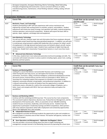|                  | Aerospace Composites, Aerospace Machining, Marine Technology, Metal Fabricating,<br>Principles of Engineering and Construction. Course curriculum will focus on safety,<br>manufacturing process, maintenance, critical thinking, fasteners, drilling, sawing, mill and<br>lathe use.                                                                                                                                                                                                                                                                                                                                                                                                                                                                                                                                                                                          |                                                                                                                                                                   |
|------------------|--------------------------------------------------------------------------------------------------------------------------------------------------------------------------------------------------------------------------------------------------------------------------------------------------------------------------------------------------------------------------------------------------------------------------------------------------------------------------------------------------------------------------------------------------------------------------------------------------------------------------------------------------------------------------------------------------------------------------------------------------------------------------------------------------------------------------------------------------------------------------------|-------------------------------------------------------------------------------------------------------------------------------------------------------------------|
|                  | Transportation, Distribution, and Logistics                                                                                                                                                                                                                                                                                                                                                                                                                                                                                                                                                                                                                                                                                                                                                                                                                                    |                                                                                                                                                                   |
| #                | <b>Course Title</b>                                                                                                                                                                                                                                                                                                                                                                                                                                                                                                                                                                                                                                                                                                                                                                                                                                                            | Credit that can be earned (*other than<br><b>ELECTIVE credit)</b>                                                                                                 |
| 8197             | <b>Mechanics, Power, and Technology</b><br>Students participating in MPT will have experiences with various mechanical and<br>engineering concepts with exciting hands-on activities, projects, and problems. Student<br>experiences will involve the study of energy, tool operation and safety, material properties,<br>machine operation, and structural components. Students will acquire the basic skills to<br>operate, repair, engineer, and design tools and equipment.                                                                                                                                                                                                                                                                                                                                                                                                | $\boxtimes$ CTE<br>$\Box$ Arts<br>$\Box$ World Language<br>$\Box$ Fitness/PE $\Box$ Health<br>$\Box$ Math<br>$\Box$ Science                                       |
| 7251             | <b>Auto Mechanics Technology</b><br>You will use skill sets, interpret repair text and information that future employers demand,<br>and complete project based learning using specialized equipment. In addition, you will work<br>in small groups using teamwork coupled with leadership roles to prepare for today's world<br>of employment in the high demand mechanical areas not limited to diesel, aircraft, marine,<br>power equipment or automotive repair. Students have a pathway to higher learning and<br>certification. Shadle Park's Automotive Transportation Systems is much more than meets<br>the eye.                                                                                                                                                                                                                                                       | $\Box$ Arts<br>$\boxtimes$ CTE<br>□ World Language<br>$\Box$ Fitness/PE $\Box$ Health<br>$\Box$ Math<br>$\Box$ Science                                            |
| 7271             | Advanced Auto Mechanics Technology<br>In this class, students learn more advanced automotive technical knowledge and skills. The<br>curriculum will include instruction in various systems including engine, power train, cooling,<br>electrical, and fuel systems.                                                                                                                                                                                                                                                                                                                                                                                                                                                                                                                                                                                                            | $\Box$ Arts<br>$\Box$ World Language<br>$\boxtimes$ CTE<br>$\Box$ Fitness/PE $\Box$ Health<br>$\Box$ Math<br>$\Box$ Science                                       |
| <b>Marketing</b> |                                                                                                                                                                                                                                                                                                                                                                                                                                                                                                                                                                                                                                                                                                                                                                                                                                                                                |                                                                                                                                                                   |
|                  |                                                                                                                                                                                                                                                                                                                                                                                                                                                                                                                                                                                                                                                                                                                                                                                                                                                                                |                                                                                                                                                                   |
| #                | <b>Course Title</b>                                                                                                                                                                                                                                                                                                                                                                                                                                                                                                                                                                                                                                                                                                                                                                                                                                                            | Credit that can be earned (*other than                                                                                                                            |
| 8371             | <b>Business and Marketing/DECA</b><br>Looking for a course that delivers real world skills? Business and marketing is your<br>ticket! During this year long course, you will explore the functions of marketing,<br>promotions, economics, selling, emotional intelligence, professional development and the<br>job search process, financial literacy and the chance to participate in DECA. DECA is an<br>association for marketing students that empowers its members to be academically<br>prepared, community oriented, strong leaders, and professional networkers. In addition to<br>a relevant and exciting curriculum all students have the opportunity to complete<br>certification exams, articulate for credit at the community colleges of Spokane, earn a<br>letter, travel, and compete with DECA. Start your adventure today and explore the<br>possibilities! | <b>ELECTIVE credit)</b><br>$\boxtimes$ CTE<br>$\Box$ Arts<br>$\overline{\Box}$ World Language<br>$\Box$ Fitness/PE $\Box$ Health<br>$\Box$ Math<br>$\Box$ Science |
| 8373             | <b>Business and Marketing 2/DECA</b><br>Continue with the marketing and DECA journey! This course has four main components.<br>The coursework explores Operations, Business Law, Product/Service Management, and the<br>development of the business plan. DECA, an association of over 180,000 marketing<br>students focuses on business, leadership, and community service. Students have the<br>opportunity to participate in leadership trainings and DECA Competitions. DECA partners<br>with many national corporations which offer employment and scholarship opportunities.<br>Work in the Highlander Hut is also included.                                                                                                                                                                                                                                             | $\boxtimes$ CTE<br>$\Box$ Arts<br>$\Box$ World Language<br>$\Box$ Health<br>$\Box$ Math<br>$\square$ Fitness/PE<br>$\Box$ Science                                 |
| 8263             | $\rightarrow$ Independent Business Project<br>IBP is designed to provide self-directed students the opportunity to plan and complete an<br>in-depth project in a business area of their interest. The teacher will approve, monitor and<br>evaluate the project.                                                                                                                                                                                                                                                                                                                                                                                                                                                                                                                                                                                                               | $\boxtimes$ CTE<br>$\Box$ Arts<br>$\Box$ World Language<br>$\Box$ Fitness/PE<br>$\Box$ Health<br>$\Box$ Math<br>$\Box$ Science                                    |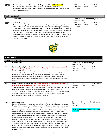| 8374Z | Store Operations and Management - Bagpiper's Bistro *** Zero Hour***<br>→<br>This class provides a structured setting where you learn to apply marketing and<br>management concepts learned in the Marketing classrooms by operating the Bagpiper's<br>Bistro during Zero Hour.                                                                                                                                                                                                                                                                                                                                                                                                                                                 | $\boxtimes$ CTE<br>$\square$ Arts<br>$\Box$ World Language<br>$\Box$ Fitness/PE<br>$\Box$ Health<br>$\Box$ Math<br>$\Box$ Science |
|-------|---------------------------------------------------------------------------------------------------------------------------------------------------------------------------------------------------------------------------------------------------------------------------------------------------------------------------------------------------------------------------------------------------------------------------------------------------------------------------------------------------------------------------------------------------------------------------------------------------------------------------------------------------------------------------------------------------------------------------------|-----------------------------------------------------------------------------------------------------------------------------------|
|       | <b>Work Study Learning</b>                                                                                                                                                                                                                                                                                                                                                                                                                                                                                                                                                                                                                                                                                                      |                                                                                                                                   |
| #     | <b>Course Title</b>                                                                                                                                                                                                                                                                                                                                                                                                                                                                                                                                                                                                                                                                                                             | Credit that can be earned (*other than<br><b>ELECTIVE credit)</b>                                                                 |
| 8367  | <b>Work Site Learning</b><br>Students have the opportunity to earn credit for working at a job, paid or unpaid/volunteer,<br>outside of the hours school is in session, provided they meet the following requirements: 1)<br>Be enrolled in or have completed a Qualifying CTE class. 2) Complete all Work Site Learning<br>agreements and paperwork with the Work Site Learning Facilitator that works downtown in<br>the central office. 3) Turn in work hours and all required assignments through the<br>Blackboard shell as required by the WSL Facilitator. Students earn 1/2 credit for every 180 hrs<br>of work. Students can earn up to 2 full credits/school year (720 hrs) depending on how<br>many hours they work. | $\boxtimes$ CTE<br>$\Box$ World Language<br>$\square$ Arts<br>$\Box$ Math<br>$\Box$ Fitness/PE<br>$\Box$ Health<br>$\Box$ Science |



### **PUBLIC SERVICE Health Science/Foods # Course Title Credit that can be earned** *(\*other than ELECTIVE credit)* 7772 **Sports Medicine 1** *(\*lab science) (\*not NCAA approved- do not take as science clas if you plan on being an NCAA Division I or Division II athlete)* The Sports Medicine course is designed to teach students components of exercise science/sports medicine including exploration of therapeutic careers, medical terminology, anatomy, physiology, first aid, injury prevention, the healing process, rehabilitation techniques, therapeutic modalities, and sport nutrition. This course prepares students for future clinical experiences as well as advanced sports medicine courses. ☒ CTE ☐ Arts ☐ World Language ☐ Fitness/PE ☐ Health ☐ Math ☒ Science 7776 **Sports Medicine 2** *(\*lab science) (\*not NCAA approved- do not take as science class if you plan on being an NCAA Division I or Division II athlete)* The Sports Medicine – Advanced course is designed for students who wish to build upon their knowledge and skills learned in Sports Medicine. Components of exercise science/sports medicine include exploration of therapeutic careers, medical terminology, anatomy, physiology, first aid, injury prevention, the healing process, rehabilitation techniques, therapeutic modalities, and sport nutrition.  $\boxtimes$  CTE  $\Box$  Arts  $\Box$  World Language ☐ Fitness/PE ☐ Health ☐ Math ☒ Science 8590 **Foods and Fitness** Foods and Fitness can be taken to meet the Lifetime Fitness (Year 2) credit requirement. This class offers you the chance to become nutritionally and physically fit! Opportunities are provided to evaluate the attitudes and behaviors related to your wellness. Learn health management skills through foods, nutrition, a variety of activities and exercise, and positive self-image and stress management. Food labs focus on healthy food preparation methods. You will apply movement skills and fitness concepts and evaluate health and skill-related components of fitness. You will predict how physical activity interests and abilities change across a lifetime, and how to select coping skills to deal with personal challenges, differences and setbacks in physical performance. You will create, implement, monitor, self-assess, and modify a personal health and fitness plan. The fitness center and heart rate monitors will be used to monitor progress towards fitness goals. At the end of Foods & Fitness, you will take the Washington State Fitness & Health CBA. Experiences with Super Circuits and heart rate monitors support individual student workouts.  $\boxtimes$  CTE  $\Box$  Arts  $\Box$  World Language  $\boxtimes$  Fitness/PE  $\Box$  Health  $\Box$  Math ☐ Science **Dual Credit Course:** 1.0 total credit, fulfills Fitness Year 2 & CTE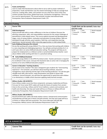| 8575 | <b>Foods and Nutrition</b><br>Learn to make informed decisions about what to eat as well as proper methods of<br>preparation. Foods and Nutrition uses the newest technology to help you manage food<br>resources. Cooking skills, safety, and nutrition are just a few focus areas of this class.<br>Content includes food artistry, global food issues, and kitchen management. There may<br>be a cost for special projects. The second semester includes international foods.<br>Prerequisites: None Graduation Requirement Credit: CTE                                            | $\Box$ Arts<br>$\boxtimes$ CTE<br>$\Box$ World Language<br>□ Fitness/PE<br>$\Box$ Health<br>$\Box$ Math<br>$\Box$ Science      |
|------|---------------------------------------------------------------------------------------------------------------------------------------------------------------------------------------------------------------------------------------------------------------------------------------------------------------------------------------------------------------------------------------------------------------------------------------------------------------------------------------------------------------------------------------------------------------------------------------|--------------------------------------------------------------------------------------------------------------------------------|
|      | <b>Education/Training</b>                                                                                                                                                                                                                                                                                                                                                                                                                                                                                                                                                             |                                                                                                                                |
| #    | <b>Course Title</b>                                                                                                                                                                                                                                                                                                                                                                                                                                                                                                                                                                   | Credit that can be earned (*other than<br><b>ELECTIVE credit)</b>                                                              |
| 8560 | <b>Child Development</b><br>Equip yourself with skills to make a difference in the lives of children! Discover the<br>planning, preparation, skills, and responsibilities necessary for the unique challenges of<br>parenthood or child-related careers. This course explores prenatal and developmental<br>stages, costs of raising children, motivation and education of young children. Skills are<br>developed through activities, guest speakers, field trips, and cooperative learning<br>experiences. Second semester offers internship opportunities in child-related fields. | $\Box$ Arts<br>$\boxtimes$ CTE<br>$\Box$ World Language<br>$\Box$ Fitness/PE<br>$\Box$ Health<br>$\Box$ Math<br>$\Box$ Science |
| 8561 | <b>Early Childhood Education (Pre-School)</b><br>Do you like working with young children? If so, then you know that working with children<br>is a very rewarding and challenging experience. You will plan and lead activities for 3, 4,<br>and 5 year olds in an early childhood education setting. This program will help you to<br>prepare for employment as a childcare worker or preschool/elementary teacher. Learn<br>about children while working with them in a preschool setting.                                                                                           | $\boxtimes$ CTE<br>$\Box$ Arts<br>□ World Language<br>$\Box$ Fitness/PE<br>$\Box$ Health<br>$\Box$ Math<br>$\Box$ Science      |
| 8580 | $\rightarrow$ Early Childhood Assistant<br>Work with young children in the SPHS Pre-School center. Teacher permission is required<br>for enrollment in this course. 2nd year ECE Assistants take an active role in managing the<br>business of an early childhood education program.                                                                                                                                                                                                                                                                                                  | $\Box$ Arts<br>$\boxtimes$ CTE<br>$\Box$ World Language<br>$\Box$ Fitness/PE<br>$\Box$ Health<br>$\Box$ Math<br>$\Box$ Science |
| 9295 | <b>Careers in Education- Teaching Academy</b><br>Do you want to be a teacher? This class is designed to give students the "total teaching<br>experience". First semester, you will learn about teaching methods, classroom<br>management, lesson planning and the rigors of the teaching profession. You will also gain<br>valuable work skills, plan lessons, make presentations and speak to classes with<br>confidence. Second semester, you will have the opportunity to spend time with children<br>in an elementary or middle school classroom applying newly learned concepts. | $\Box$ Arts<br>$\boxtimes$ CTE<br>□ World Language<br>$\Box$ Fitness/PE<br>$\Box$ Health<br>$\Box$ Math<br>$\Box$ Science      |
| 9193 | <b>Military Studies 100 (AFJROTC)</b><br>Every military studies course has three components: aerospace, leadership and fitness.<br>First year Air Force Junior ROTC cadets will study the history of aviation from ancient<br>times to the current day, military and Air Force traditions, customs and courtesies, and<br>health and citizenship. One day each week will focus on fitness or military drill and<br>ceremonies.Prerequisites: None Graduation Requirement Credit: CTE                                                                                                  | $\boxtimes$ CTE<br>$\Box$ Arts<br>$\Box$ World Language<br>$\Box$ Fitness/PE $\Box$ Health<br>$\Box$ Math<br>$\Box$ Science    |
| 9197 | <b>Military Studies 200 (AFJROTC)</b><br>Second and third year cadets will study aviation science, interpersonal communication<br>and leadership and take part in fitness and drill activities. One day each week will focus<br>on fitness or military drill and ceremonies. This course alternates with MS 300.<br>Prerequisites: Military Science 100 Graduation Requirement Credit: CTE                                                                                                                                                                                            | $\boxtimes$ CTE<br>$\Box$ Arts<br>$\Box$ World Language<br>$\Box$ Fitness/PE<br>$\Box$ Health<br>$\Box$ Math<br>$\Box$ Science |
|      |                                                                                                                                                                                                                                                                                                                                                                                                                                                                                                                                                                                       |                                                                                                                                |



|   | <b>ARTS &amp; HUMANITIES</b>                   |                                                                   |
|---|------------------------------------------------|-------------------------------------------------------------------|
|   | <b>Musical Arts (Vocal &amp; Instrumental)</b> |                                                                   |
| # | <b>Course Title</b>                            | Credit that can be earned (*other than<br><b>ELECTIVE credit)</b> |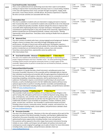| 4620 | <b>Vocal Small Ensemble- Intermediate</b><br>This is a non-auditioned and non-performing vocal class that is open to all students<br>wishing to improve their musicianship skills and enjoy music in a casual setting. Students<br>in this class will experience basic music concepts through vocal games, singing, body<br>percussion, music theory lessons, and folk dances. No previous experience is required.<br>No extra-curricular activities are associated with this class.                                                                                                                                                                                                                                                                                                                                                                                                          | $\Box$ CTE<br>$\Box$ Fitness/PE $\Box$ Health<br>$\Box$ Science | $\boxtimes$ Arts                  | $\Box$ World Language<br>$\Box$ Math |
|------|-----------------------------------------------------------------------------------------------------------------------------------------------------------------------------------------------------------------------------------------------------------------------------------------------------------------------------------------------------------------------------------------------------------------------------------------------------------------------------------------------------------------------------------------------------------------------------------------------------------------------------------------------------------------------------------------------------------------------------------------------------------------------------------------------------------------------------------------------------------------------------------------------|-----------------------------------------------------------------|-----------------------------------|--------------------------------------|
| 4613 | <b>Intermediate Choir</b><br>This choir is available to students who are interested in singing and want to improve<br>their musicianship skills. It is essential for students who would like to be in the Advanced<br>Choir or auditioned specialty ensembles. Students will get the chance to improve their<br>vocal skills while emphasizing the basics of proper techniques. Participation requires a<br>commitment to performing both in class and outside of the school day. Opportunities to<br>perform include (but are not limited to) festivals, contests, and concerts. Starting<br>soprano/alto voices placed here. Tenor/bass voices starting at Shadle Park are placed in<br>Advanced Choir.                                                                                                                                                                                     | $\Box$ CTE<br>$\Box$ Fitness/PE $\Box$ Health<br>$\Box$ Science | $\boxtimes$ Arts                  | $\Box$ World Language<br>$\Box$ Math |
| 4615 | $\rightarrow$ Advanced Choir<br>This choir consists of students who have a strong singing/musical background. Students<br>will get a chance to sharpen their vocal skills through challenging music and<br>performances. All styles of choral music will be performed. Participation requires a<br>commitment to performing both in class and outside of the school day. Opportunities to<br>perform include (but are not limited to) festivals, contests, tours and concerts.<br>Tenor/bass voices placed here, soprano/alto voices by audition only<br>after Intermediate Choir.                                                                                                                                                                                                                                                                                                            | $\Box$ CTE<br>$\Box$ Fitness/PE<br>$\Box$ Science               | $\boxtimes$ Arts<br>$\Box$ Health | □ World Language<br>$\Box$ Math      |
| 4623 | → Vocal Small Ensemble - Advanced ***Audition Only*** ***Zero Hour***<br>This class is for students who would like to develop a thorough un-derstanding of<br>proper singing techniques and vocal "chamber music." An active performing schedule<br>including school concerts and special community events is a major aspect of this<br>ensemble. Opportunities to perform include (but are not limited to) festivals, contests,<br>tours and concerts.                                                                                                                                                                                                                                                                                                                                                                                                                                       | $\Box$ CTE<br>$\Box$ Fitness/PE $\Box$ Health<br>$\Box$ Science | ⊠ Arts                            | □ World Language<br>$\Box$ Math      |
| 4772 | <b>Advanced Band-Wind Ensemble</b><br>For all students 9-12 grade that play a band instrument, excluding percussion (see<br>Percussion Ensemble). Musicians in this ensemble will be challenged daily to improve<br>their individual musicianship and ensemble skills through progressive fundamental and<br>technical exercises. We will explore a diversity of genres and are constantly in pursuit of<br>presenting compelling, entertaining, expressive, and fun performances for our<br>audiences. Participation requires a commitment to performing in all concerts and<br>festivals, as well as football pep band in the fall. Additionally students will have many<br>optional opportunities to perform including chamber ensembles and basketball pep<br>band. For more information including media, course syllabus, and performance calendars<br>check out www.shadleparkband.org. | $\Box$ CTE<br>$\Box$ Fitness/PE $\Box$ Health<br>$\Box$ Science | $\boxtimes$ Arts                  | $\Box$ World Language<br>$\Box$ Math |
| 4776 | Advanced Jazz Ensemble *** Audition Only*** *** Zero Hour***<br>This ensemble is built around the traditions of Count Basie and Duke Ellington in the<br>spirit of swing. We will explore performance in traditional big band swing, bebop, latin<br>jazz, contemporary, rock, and funk. Style, improvisation, groove, and small ensemble<br>skills are among the fundamentals we will dive into throughout the year. Instruments<br>traditionally included in a jazz ensemble are saxophone, trumpet, trombone, piano,<br>guitar, acoustic bass, and drums. Jazz Ensemble is a performance based curriculum<br>including school concerts, community events, festivals, contests, and school Cons. For<br>more information including media, course syllabus, and performance calendars check<br>out www.shadleparkband.org.                                                                   | $\Box$ CTE<br>$\Box$ Fitness/PE $\Box$ Health<br>$\Box$ Science | $\boxtimes$ Arts                  | $\Box$ World Language<br>$\Box$ Math |
| 4780 | <b>Percussion Ensemble</b><br>→<br>This class is for all percussionists. Musicians in this class will comprise all (or part) of the<br>percussion sections of the Wind Ensemble, Drumline, and Pep Band. Additionally they<br>will perform Percussion Ensemble music throughout the year and will have numerous<br>optional performance opportunities including chamber music and pep band.<br>Percussionists will be exposed to the entire range of percussion instruments focusing<br>initially on snare, mallets, and timpani, but will explore all auxiliary instruments and<br>contemporary sounds ranging from garbage cans to piles of metal. For more information<br>including media, course syllabus, and performance calendars check out<br>www.shadleparkband.org.                                                                                                                 | $\Box$ CTE<br>$\Box$ Fitness/PE<br>$\Box$ Science               | $\boxtimes$ Arts<br>$\Box$ Health | $\Box$ World Language<br>$\Box$ Math |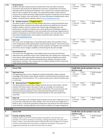| 1607<br>7850<br><b>Visual Arts</b><br>#<br>4201 | Advanced Drama ***Audition Only***<br>This advanced drama course takes a deeper look into all areas of the theater. The first<br>semester will involve study in the areas of make-up, set design, set construction,<br>costumes, properties, acting, types of theater and directing. The second semester will<br>involve the practical application of the material learned during the first semester.<br>Participation requires a commitment to performing both in class and outside of the<br>school day.<br><b>Stagecraft</b><br>If you are interested in the wonderful world of theater but you don't really want to act or<br>you just want to diversify your artistic abilities, this is the course for you! Stagecraft is a<br>hands-on class, in which the participants actively learn and create for the many technical<br>areas of theater, including: lighting, sound costumes, publicity, and stage management.<br><b>Course Title</b><br>Drawing, Sculpting, Painting | $\Box$ CTE<br>$\square$ Fitness/PE<br>$\Box$ Science<br>$\boxtimes$ CTE<br>$\Box$ Fitness/PE<br>$\Box$ Science<br><b>ELECTIVE credit)</b><br>$\Box$ CTE | $\boxtimes$ Arts<br>$\Box$ Health<br>$\Box$ Arts<br>$\square$ Health<br>$\boxtimes$ Arts | $\Box$ World Language<br>$\Box$ Math<br>$\Box$ World Language<br>$\Box$ Math<br>Credit that can be earned (*other than<br>$\Box$ World Language |
|-------------------------------------------------|-----------------------------------------------------------------------------------------------------------------------------------------------------------------------------------------------------------------------------------------------------------------------------------------------------------------------------------------------------------------------------------------------------------------------------------------------------------------------------------------------------------------------------------------------------------------------------------------------------------------------------------------------------------------------------------------------------------------------------------------------------------------------------------------------------------------------------------------------------------------------------------------------------------------------------------------------------------------------------------|---------------------------------------------------------------------------------------------------------------------------------------------------------|------------------------------------------------------------------------------------------|-------------------------------------------------------------------------------------------------------------------------------------------------|
|                                                 |                                                                                                                                                                                                                                                                                                                                                                                                                                                                                                                                                                                                                                                                                                                                                                                                                                                                                                                                                                                   |                                                                                                                                                         |                                                                                          |                                                                                                                                                 |
|                                                 |                                                                                                                                                                                                                                                                                                                                                                                                                                                                                                                                                                                                                                                                                                                                                                                                                                                                                                                                                                                   |                                                                                                                                                         |                                                                                          |                                                                                                                                                 |
|                                                 |                                                                                                                                                                                                                                                                                                                                                                                                                                                                                                                                                                                                                                                                                                                                                                                                                                                                                                                                                                                   |                                                                                                                                                         |                                                                                          |                                                                                                                                                 |
|                                                 |                                                                                                                                                                                                                                                                                                                                                                                                                                                                                                                                                                                                                                                                                                                                                                                                                                                                                                                                                                                   |                                                                                                                                                         |                                                                                          |                                                                                                                                                 |
| 1601                                            | <b>Beginning Drama</b><br>This beginning drama course is designed to develop acting skills and gain a general<br>knowledge of the theater world. Special emphasis is directed toward concentration and<br>development of characterizations. This is a group activity class in which all students take<br>an active part.                                                                                                                                                                                                                                                                                                                                                                                                                                                                                                                                                                                                                                                          | <b>ELECTIVE credit)</b><br>$\Box$ CTE<br>$\Box$ Fitness/PE<br>$\Box$ Science                                                                            | $\boxtimes$ Arts<br>$\Box$ Health                                                        | $\Box$ World Language<br>$\Box$ Math                                                                                                            |
| #                                               | <b>Course Title</b>                                                                                                                                                                                                                                                                                                                                                                                                                                                                                                                                                                                                                                                                                                                                                                                                                                                                                                                                                               |                                                                                                                                                         |                                                                                          | Credit that can be earned (*other than                                                                                                          |
| <b>Theatre Arts</b>                             |                                                                                                                                                                                                                                                                                                                                                                                                                                                                                                                                                                                                                                                                                                                                                                                                                                                                                                                                                                                   |                                                                                                                                                         |                                                                                          |                                                                                                                                                 |
| 4860                                            | Piano/Keyboard Lab<br>This course is for the beginning or intermediate pianist (no previous formal lesson<br>experience) who would like to learn music fundamentals, like reading music and learning<br>music theory, while exploring skills required to play the piano. Reading music will be<br>stressed as well as proper technique and performance etiquette. No extracurricular<br>performances necessary. This is a great class for students wishing to fulfil a musical arts<br>credit without ensemble performances.                                                                                                                                                                                                                                                                                                                                                                                                                                                      | $\Box$ CTE<br>$\Box$ Fitness/PE<br>$\Box$ Science                                                                                                       | $\boxtimes$ Arts<br>$\Box$ Health                                                        | $\Box$ World Language<br>$\Box$ Math                                                                                                            |
| 4855                                            | <b>Guitar Lab</b><br>This course is for the beginning or intermediate guitar player who would like to learn<br>music fundamentals while exploring skills required to play the guitar. School instruments<br>are available for rent if needed. Students are also welcome to bring their own instrument<br>from home. Secure storage is available at school during the day and overnight.                                                                                                                                                                                                                                                                                                                                                                                                                                                                                                                                                                                           | $\Box$ CTE<br>$\Box$ Fitness/PE<br>$\Box$ Science                                                                                                       | $\boxtimes$ Arts<br>$\Box$ Health                                                        | □ World Language<br>$\Box$ Math                                                                                                                 |
| 4790                                            | Chamber Orchestra *** Audition Only***<br>→<br>This select orchestra consists of strings students who have a strong instrumental music<br>background (other orchestral instruments will sometimes be added by the instructor).<br>Students will get a chance to sharpen their skills through challenging music and<br>performances. All styles of orchestra music will be performed. Participation requires a<br>commitment to performing both in class and outside of the school day. Opportunities to<br>perform include (but are not limited to) festivals, contests, tours and concerts. For more<br>information including media, course syllabus, and performance calendars check<br>out www.shadleparkband.org.                                                                                                                                                                                                                                                             | $\Box$ CTE<br>$\Box$ Fitness/PE<br>$\Box$ Science                                                                                                       | $\boxtimes$ Arts<br>$\Box$ Health                                                        | $\Box$ World Language<br>$\Box$ Math                                                                                                            |
|                                                 | <b>String Orchestra</b><br>Students who play string instruments should enroll in this class (other orchestral<br>instruments will sometimes be added by the instructor). Fundamentals of orchestra<br>techniques will be introduced and explored. This is a great class to sharpen performance<br>skills in order to audition for the select, more advanced ensemble. Various styles of<br>orchestra music will be performed. Opportunities to perform include (but are not limited<br>to) festivals, contests, tours and concerts. For more information including media, course<br>syllabus, and performance calendars check out www.shadleparkband.org.                                                                                                                                                                                                                                                                                                                         | $\Box$ CTE<br>$\square$ Fitness/PE<br>$\Box$ Science                                                                                                    | $\boxtimes$ Arts<br>$\Box$ Health                                                        | □ World Language<br>$\square$ Math                                                                                                              |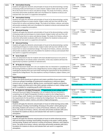| 4221 | $\rightarrow$ Intermediate Drawing<br>Students will apply the elements and principles of visual art by demonstrating a variety<br>of drawing media and techniques to create artwork. Subject matter will vary from still<br>life to the human form to nature and abstract design. The study of art history, cultures,<br>and artists will provide vocabulary skills and a foundation for students to discuss and<br>evaluate their own work in a supportive atmosphere.                                                       | $\Box$ CTE<br>□ Fitness/PE<br>$\Box$ Science                         | $\boxtimes$ Arts<br>$\Box$ Health | $\Box$ World Language<br>$\Box$ Math                                                             |
|------|-------------------------------------------------------------------------------------------------------------------------------------------------------------------------------------------------------------------------------------------------------------------------------------------------------------------------------------------------------------------------------------------------------------------------------------------------------------------------------------------------------------------------------|----------------------------------------------------------------------|-----------------------------------|--------------------------------------------------------------------------------------------------|
| 4231 | $\rightarrow$ Intermediate Painting<br>Students will apply the elements and principles of visual art by demonstrating a variety<br>of painting techniques to create artwork. Subject matter will vary from still life to the<br>human form to nature and abstract design. The study of art history, cultures, and artists<br>will provide vocabulary skills and a foundation for students to discuss and evaluate their<br>own work in a supportive atmosphere.                                                               | $\Box$ CTE<br>$\Box$ Fitness/PE<br>$\Box$ Science                    | $\boxtimes$ Arts<br>$\Box$ Health | $\Box$ World Language<br>$\Box$ Math                                                             |
| 4223 | $\rightarrow$ Advanced Drawing<br>Students will apply the elements and principles of visual art by demonstrating a variety<br>of drawing media and techniques to create artwork. Subject matter will vary from still<br>life to the human form to nature and abstract design. The study of art history, cultures,<br>and artists will provide vocabulary skills and a foundation for students to discuss and<br>evaluate their own work in a supportive atmosphere.                                                           | $\Box$ CTE<br>$\Box$ Fitness/PE $\Box$ Health<br>$\Box$ Science      | $\boxtimes$ Arts                  | $\Box$ World Language<br>$\Box$ Math                                                             |
| 4233 | $\rightarrow$ Advanced Painting<br>Students will apply the elements and principles of visual art by demonstrating a variety<br>of painting techniques to create artwork. Subject matter will vary from still life to the<br>human form to nature and abstract design. The study of art history, cultures, and artists<br>will provide vocabulary skills and a foundation for students to discuss and evaluate their<br>own work in a supportive atmosphere.                                                                   | $\Box$ CTE<br>$\Box$ Fitness/PE $\Box$ Health<br>$\Box$ Science      | $\boxtimes$ Arts                  | $\Box$ World Language<br>$\Box$ Math                                                             |
| 4341 | <b>Senior Studio Art</b><br>$\rightarrow$<br>This is an advanced art class for students who have decided to pursue an art career or<br>seek scholarships to art schools and/or universities. In this class students will have the<br>opportunity to produce a portfolio of selected work.                                                                                                                                                                                                                                     | $\Box$ CTE<br>$\Box$ Fitness/PE $\Box$ Health<br>$\Box$ Science      | $\boxtimes$ Arts                  | $\Box$ World Language<br>$\Box$ Math                                                             |
| 4345 | $\rightarrow$ AP Studio Art: Drawing<br>Advanced Placement Studio Art is for art students that are interested in completing the<br>AP Drawing Portfolio to submit to the College Board to receive college credit. Students are<br>challenged to develop their own work while meeting the requirements for the portfolio as<br>stated by the College Board. This class explores a variety of mediums, subject matters, and<br>styles.                                                                                          | $\Box$ CTE<br>$\Box$ Fitness/PE $\Box$ Health<br>$\Box$ Science      | $\boxtimes$ Arts                  | $\Box$ World Language<br>$\Box$ Math                                                             |
| 7751 | <b>Digital Photography</b><br>Capture the world around you in pictures and create a portfolio of your work. In this<br>course you will gain knowledge of fundamental competencies in electronic digital<br>cameras such as: image capture, lighting, lenses, scanning both negative and positive<br>images in black and white and in color (with a greater emphasis on color). College credit<br>at SCC is available for completing specific skills in this course.                                                           | $\boxtimes$ CTE<br>$\Box$ Fitness/PE<br>$\Box$ Science               | $\boxtimes$ Arts<br>$\Box$ Health | $\Box$ World Language<br>$\Box$ Math<br>Dual Credit Course: 1.0 total credit, fulfills Art & CTE |
| 7874 | AP Studio Art: 2D Digital Photography ***opportunity to earn college credit***<br>Advanced Placement Digital Photography is for art students that are interested in<br>completing the AP Digital Photography Portfolio to submit to the College Board to<br>receive college credit. Students are challenged to develop their own work while meeting<br>the requirements for the portfolio as stated by the College Board. This class explores a<br>variety of mediums, subject matters, and styles of digital photography.    | $\boxtimes$ CTE<br>$\Box$ Fitness/PE $\Box$ Health<br>$\Box$ Science | $\boxtimes$ Arts                  | $\Box$ World Language<br>$\Box$ Math<br>Dual Credit Course: 1.0 total credit, fulfills Art & CTE |
| 4311 | <b>Ceramics</b><br>Students will apply the elements and principles of visual art while learning various skills<br>and techniques including: hand building; throwing on the potter's wheel; glazing and<br>decorating. Students will construct a variety of functional, utilitarian, and sculptural<br>forms. The study of art history, cultures, and artists will provide vocabulary skills and a<br>foundation for students to discuss and evaluate their own work in a supportive<br>atmosphere.                            | $\Box$ CTE<br>$\Box$ Fitness/PE $\Box$ Health<br>$\Box$ Science      | $\boxtimes$ Arts                  | $\Box$ World Language<br>$\Box$ Math                                                             |
| 4313 | <b>Advanced Ceramics</b><br>$\rightarrow$<br>Students will apply the elements and principles of visual art while enhancing various<br>skills and techniques including: hand building; throwing on the potter's wheel; glazing<br>and decorating. Students will construct a variety of functional, utilitarian, and sculptural<br>forms. The study of art history, cultures, and artists will provide vocabulary skills and a<br>foundation for students to discuss and evaluate their own work in a supportive<br>atmosphere. | $\Box$ CTE<br>$\Box$ Fitness/PE $\Box$ Health<br>$\Box$ Science      | $\boxtimes$ Arts                  | $\Box$ World Language<br>$\Box$ Math                                                             |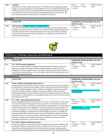| 7860              | Yearbook<br>Members of this class publish the yearbook. This entails work in photography, graphic<br>design, and creative thinking to put it all together. Since we are publishing a product that<br>will be purchased, there is also an element of advertisement and communication that is<br>very important. There will be work done independently outside of school and/or class<br>time. Special permission of the instructor is required for this course. | $\boxtimes$ CTE<br>$\square$ Arts<br>$\Box$ World Language<br>$\Box$ Health<br>$\Box$ Math<br>Fitness/PE<br>$\Box$ Science |
|-------------------|----------------------------------------------------------------------------------------------------------------------------------------------------------------------------------------------------------------------------------------------------------------------------------------------------------------------------------------------------------------------------------------------------------------------------------------------------------------|----------------------------------------------------------------------------------------------------------------------------|
| <b>Humanities</b> |                                                                                                                                                                                                                                                                                                                                                                                                                                                                |                                                                                                                            |
|                   |                                                                                                                                                                                                                                                                                                                                                                                                                                                                |                                                                                                                            |
| #                 | <b>Course Title</b>                                                                                                                                                                                                                                                                                                                                                                                                                                            | Credit that can be earned (*other than<br><b>ELECTIVE credit)</b>                                                          |



|                    | <b>STEM (Science, Technology, Engineering, and Mathematics)</b>                                                                                                                                                                                                                                                                                                                                                                                                                                                                                                                                                                                                                                                                                                                                                                                                                                                              |                                                                                                                                                                                                                            |  |
|--------------------|------------------------------------------------------------------------------------------------------------------------------------------------------------------------------------------------------------------------------------------------------------------------------------------------------------------------------------------------------------------------------------------------------------------------------------------------------------------------------------------------------------------------------------------------------------------------------------------------------------------------------------------------------------------------------------------------------------------------------------------------------------------------------------------------------------------------------------------------------------------------------------------------------------------------------|----------------------------------------------------------------------------------------------------------------------------------------------------------------------------------------------------------------------------|--|
| <b>Engineering</b> |                                                                                                                                                                                                                                                                                                                                                                                                                                                                                                                                                                                                                                                                                                                                                                                                                                                                                                                              |                                                                                                                                                                                                                            |  |
| #                  | <b>Course Title</b>                                                                                                                                                                                                                                                                                                                                                                                                                                                                                                                                                                                                                                                                                                                                                                                                                                                                                                          | Credit that can be earned (*other than<br><b>ELECTIVE credit)</b>                                                                                                                                                          |  |
| 8127               | $\rightarrow$ PLTW- Aerospace Engineering<br>This course propels students' learning in the fundamentals of atmospheric and space<br>flight. As they explore the physics of flight, students bring the concepts to life by<br>designing an airfoil, propulsion system, and rockets. They learn basic orbital mechanics<br>using industry-standard software. They also explore robot systems through projects such<br>as remotely operated vehicles.                                                                                                                                                                                                                                                                                                                                                                                                                                                                           | $\Box$ Arts<br>$\boxtimes$ CTE<br>$\Box$ World Language<br>$\Box$ Fitness/PE $\Box$ Health<br>$\Box$ Math<br>$\Box$ Science                                                                                                |  |
|                    | <b>Biomedical Science</b>                                                                                                                                                                                                                                                                                                                                                                                                                                                                                                                                                                                                                                                                                                                                                                                                                                                                                                    |                                                                                                                                                                                                                            |  |
| $\pmb{\sharp}$     | <b>Course Title</b>                                                                                                                                                                                                                                                                                                                                                                                                                                                                                                                                                                                                                                                                                                                                                                                                                                                                                                          | Credit that can be earned (*other than<br><b>ELECTIVE credit)</b>                                                                                                                                                          |  |
| 5307               | PLTW- Principles of Biomedical Science (Year 1)<br>Student work involves the study of human medicine, research processes, an introduction<br>to bioinformatics, and the use of computer science mathematics and information theory<br>to model and analyze biological systems. Students investigate the human body systems<br>and various health conditions including: heart disease, diabetes, sickle-cell disease,<br>hypercholesterolemia, as well as infectious diseases. They determine the factors that led<br>to the death of a fictional person, and investigate lifestyle choices and med e been able to<br>prolong the person's life.                                                                                                                                                                                                                                                                              | $\boxtimes$ CTE<br>$\Box$ Arts<br>$\Box$ World Language<br>$\Box$ Fitness/PE $\Box$ Health<br>$\Box$ Math<br>$\boxtimes$ Science<br>Dual Credit Course: 1.0 total credit, fulfills Science<br>(lab science) & CTE          |  |
| 5309               | → PLTW – Human Body Systems (Year 2)<br>Students engage in the study of the processes, structures, and interactions of the human<br>body systems. Important concepts in the course include: communication, transport of<br>substances, locomotion, metabolic processes, defense, and protection. The central theme<br>is how the body systems work together to maintain homeostasis and good health. The<br>systems are studied as "parts of a whole," working together to keep the amazing human<br>machine functioning at an optimal level. Students design experiments, investigate the<br>structures and functions of body systems, and use data acquisition software to monitor<br>body functions such as muscle movement, reflex and voluntary actions, and respiratory<br>operations. Students work through interesting real-world cases and play the role of<br>biomedical professionals to solve medical mysteries. | $\boxtimes$ CTE<br>$\Box$ Arts<br>□ World Language<br>$\Box$ Fitness/PE $\Box$ Health<br>$\square$ Math<br>$\boxtimes$ Science<br>Dual Credit Course: 1.0 total credit, fulfills Science<br>(Anatomy and Physiology) & CTE |  |
| 5347               | PLTW - Medical Interventions (Year 3)<br>$\rightarrow$<br>Students investigate a variety of interventions involved in the prevention, diagnosis and<br>treatment of disease as they follow the life of a fictitious family. This course is a how to<br>manual for maintaining overall health and homeostasis in the body. Students explore<br>how to prevent and fight infection; screen and evaluate the code in human DNA; prevent,                                                                                                                                                                                                                                                                                                                                                                                                                                                                                        | $\boxtimes$ CTE<br>$\Box$ Arts<br>$\Box$ World Language<br>$\Box$ Fitness/PE $\Box$ Health<br>$\Box$ Math<br>$\boxtimes$ Science                                                                                           |  |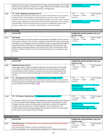|      | diagnose and treat cancer; and prevail when the organs of the body begin to fail. Through<br>these scenarios, students are exposed to a range of interventions related to immunology,<br>surgery, genetics, pharmacology, medical devices, and diagnostics.                                                                                                                                                                                                                                                                                                                                              | Dual Credit Course: 1.0 total credit, fulfills Science<br>(Anatomy and Physiology) & CTE                                                                                                                                                                                                                        |
|------|----------------------------------------------------------------------------------------------------------------------------------------------------------------------------------------------------------------------------------------------------------------------------------------------------------------------------------------------------------------------------------------------------------------------------------------------------------------------------------------------------------------------------------------------------------------------------------------------------------|-----------------------------------------------------------------------------------------------------------------------------------------------------------------------------------------------------------------------------------------------------------------------------------------------------------------|
| 5347 | $\rightarrow$ PLTW – BioMedical Innovation (Year 4)<br>In Biomedical Innovation (BI), the final course of the PLTW Biomedical Science sequence,<br>students build on the knowledge and skills gained from previous courses to design<br>innovative solutions for the most pressing health challenges of the 21st century. Students<br>address topics ranging from public health and biomedical engineering to clinical medicine<br>and physiology. They have the opportunity to work on an independent project with a<br>mentor or advisor from a university, medical facility, or research institution. | $\boxtimes$ CTE<br>$\Box$ Arts<br>$\Box$ World Language<br>$\Box$ Fitness/PE $\Box$ Health<br>$\Box$ Math<br>$\boxtimes$ Science<br>Dual Credit Course: 1.0 total credit, fulfills Science<br>(Anatomy and Physiology) & CTE                                                                                    |
|      | <b>Applied Technology</b>                                                                                                                                                                                                                                                                                                                                                                                                                                                                                                                                                                                |                                                                                                                                                                                                                                                                                                                 |
| #    | <b>Course Title</b>                                                                                                                                                                                                                                                                                                                                                                                                                                                                                                                                                                                      | Credit that can be earned (*other than<br><b>ELECTIVE credit)</b>                                                                                                                                                                                                                                               |
| 8215 | <b>Web Design</b><br>This project-based class teaches professional web design using Adobe Creative Suite and<br>other popular software. The curriculum is designed to teach the full process of designing,<br>developing, and managing the creation of websites. Students create multimedia websites<br>using Dreamweaver, web graphics and digital photography with Photoshop and other<br>photo editing and drawing programs, web animation with Flash, and web video editing<br>software. Students interested in the area of web development are encouraged to take<br>this class.                    | $\boxtimes$ CTE<br>$\boxtimes$ Arts<br>$\Box$ World Language<br>$\Box$ Fitness/PE $\Box$ Health<br>$\Box$ Math<br>$\Box$ Science<br>Dual Credit Course: 1.0 total credit, fulfills Art & CTE                                                                                                                    |
|      | <b>Computer Science</b>                                                                                                                                                                                                                                                                                                                                                                                                                                                                                                                                                                                  |                                                                                                                                                                                                                                                                                                                 |
| #    | <b>Course Title</b>                                                                                                                                                                                                                                                                                                                                                                                                                                                                                                                                                                                      | Credit that can be earned (*other than<br><b>ELECTIVE credit)</b>                                                                                                                                                                                                                                               |
| 9200 | <b>Exploring Computer Science</b><br>Create Apps, games, robots and websites using your new Computation Thinking Skills.<br>Our students are exposed to computer fundamentals and tools allowing you to gain<br>understanding and build confidence. Students use visual, block-based programming<br>(Scratch2) and move to text-based languages such as Python and Arduino coding for<br>robotics.                                                                                                                                                                                                       | $\boxtimes$ CTE<br>$\Box$ Arts<br>$\overline{\Box}$ World Language<br>$\Box$ Fitness/PE $\Box$ Health<br>$\Box$ Math<br>$\Box$ Science                                                                                                                                                                          |
| 8293 | AP Computer Science Principles *** opportunity to earn college credit***<br>Advanced Placement Computer Science Principles provides instruction in the use of the<br>JAVA-Script programming language to design, write, and analyze APPS in preparation for<br>the AP Computer Science Principles exam.                                                                                                                                                                                                                                                                                                  | $\Box$ Arts<br>$\boxtimes$ CTE<br>□ World Language<br>$\Box$ Fitness/PE $\Box$ Health<br>$\boxtimes$ Math<br>$\boxtimes$ Science<br>Dual Credit Course: 1.0 total credit, fulfills either<br>Math/Science & CTE<br>**Note: for math credit student must be<br>concurrently enrolled in Algebra II or above      |
| 9214 | AP Computer Programming A *** opportunity to earn college credit***<br>→<br>AP Computer Science A is an introductory college-level computer science course focusing<br>on the JAVA programming language. Students cultivate their understanding of coding<br>through analyzing, writing, and testing code as they explore concepts like modularity,<br>variables, and control structures. Students taking this course should have a firm<br>understanding of low level coding languages like Java Script or Python. The prerequisite<br>for this course is AP Computer Science Principles.               | $\boxtimes$ CTE<br>$\Box$ Arts<br>$\Box$ World Language<br>$\Box$ Fitness/PE $\Box$ Health<br>$\boxtimes$ Math<br>$\boxtimes$ Science<br>Dual Credit Course: 1.0 total credit, fulfills either<br>Math/Science & CTE<br>**Note: for math credit student must be<br>concurrently enrolled in Algebra II or above |
|      | <b>Agricultural Science</b>                                                                                                                                                                                                                                                                                                                                                                                                                                                                                                                                                                              |                                                                                                                                                                                                                                                                                                                 |
| #    | <b>Course Title</b>                                                                                                                                                                                                                                                                                                                                                                                                                                                                                                                                                                                      | Credit that can be earned (*other than<br><b>ELECTIVE credit)</b>                                                                                                                                                                                                                                               |
| 8241 | Plant Science Year 1 (*not NCAA approved- do not take if you plan on being an NCAA Division I<br>or Division II athlete)<br>Plant science offers students a chance to study plant structure,<br>function, propagation, soil, and greenhouse management in a hands on environment.                                                                                                                                                                                                                                                                                                                        | $\Box$ World Language<br>$\boxtimes$ CTE<br>$\Box$ Arts<br>$\Box$ Fitness/PE $\Box$ Health<br>$\Box$ Math<br>$\boxtimes$ Science                                                                                                                                                                                |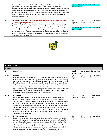|      | Throughout this course, students will be able to gain scientific understanding AND<br>practical application knowledge in Spokane Public School's exclusive operating<br>greenhouse. Students study the extensive opportunities available in the agricultural field<br>and have the option to participate in F.F.A. Career awareness and the development of<br>business and leadership skills are just two of the benefits of FFA. This course is offered as<br>either a CTE elective credit OR a lab based science. Successful completion of Biology<br>required for registration.                                                                                                                                                        | Dual Credit Course: 1.0 total credit, fulfills Science<br>(lab science) & CTE                                                                                                                                        |
|------|-------------------------------------------------------------------------------------------------------------------------------------------------------------------------------------------------------------------------------------------------------------------------------------------------------------------------------------------------------------------------------------------------------------------------------------------------------------------------------------------------------------------------------------------------------------------------------------------------------------------------------------------------------------------------------------------------------------------------------------------|----------------------------------------------------------------------------------------------------------------------------------------------------------------------------------------------------------------------|
| 8243 | →<br>Plant Science Year 2 (*not NCAA approved- do not take if you plan on being an NCAA<br><b>Division I or Division II athlete)</b><br>This class is designed to prepare students for a career related to horticulture through<br>"hands on" activities integrating science concepts, chemistry, and botany. Students will<br>work through a series of units developing skills in floriculture, greenhouse production and<br>operation, landscaping, and nursery production. Emphasis will also be given to agri-<br>business skills such as salesmanship and management. Practical experience will be gained<br>through operating the Shadle Park Flower Shop and greenhouses as well as maintaining<br>and beautifying school grounds. | $\boxtimes$ CTE<br>$\Box$ World Language<br>$\Box$ Arts<br>$\Box$ Health<br>$\Box$ Math<br>$\Box$ Fitness/PE<br>$\boxtimes$ Science<br>Dual Credit Course: 1.0 total credit, fulfills Science<br>(lab science) & CTE |



|                | <b>WORLD LANGUAGES</b>                                                                                                                                                                                                                                                                                                                                                                                                                                                                                                                                                                                                                                                                                                                                                                                                                 |                                                                                                                                |  |  |  |
|----------------|----------------------------------------------------------------------------------------------------------------------------------------------------------------------------------------------------------------------------------------------------------------------------------------------------------------------------------------------------------------------------------------------------------------------------------------------------------------------------------------------------------------------------------------------------------------------------------------------------------------------------------------------------------------------------------------------------------------------------------------------------------------------------------------------------------------------------------------|--------------------------------------------------------------------------------------------------------------------------------|--|--|--|
| <b>Spanish</b> |                                                                                                                                                                                                                                                                                                                                                                                                                                                                                                                                                                                                                                                                                                                                                                                                                                        |                                                                                                                                |  |  |  |
| #              | <b>Course Title</b>                                                                                                                                                                                                                                                                                                                                                                                                                                                                                                                                                                                                                                                                                                                                                                                                                    | Credit that can be earned (*other than<br><b>ELECTIVE credit)</b>                                                              |  |  |  |
| 6680           | Spanish 1<br>The first year of a world language is a highly communicative introduction to the language<br>and it is the base upon which levels 2,3,4 and AP are built. Students will learn important<br>vocabulary and grammar and they will be asked to put their knowledge to work in real-<br>life settings. They will be able to talk about their lives, their family and friends, discuss<br>and inquire about weather and pastimes, order food at a restaurant, shop, find their way<br>around a foreign city, and function in new situations. Grammar includes present tense<br>regular and some irregular verbs, adjective agreement, syntax and much more. Students<br>will be reading, writing, listening and speaking every day in class and they will be<br>studying the culture target language as well as their customs. | $\Box$ CTE<br>$\Box$ Arts<br>$\boxtimes$ World Language<br>$\Box$ Fitness/PE<br>$\Box$ Health<br>$\Box$ Math<br>$\Box$ Science |  |  |  |
| 6682           | Spanish 2<br>$\rightarrow$<br>Second year study enables students to expand vocabulary and explore the target<br>language using more complicated structures and systems such as past tenses and<br>reflexive verbs, . As students increase their ability to understand, they will be speaking<br>with more confidence and complexity. In addition, they will read short selections and<br>stories at more advanced levels. They will be able to talk about where they live, life after<br>school, clothing, technology, vacations by plane and train and family celebrations.<br>Classwork will be conducted in the language as much as possible to provide practice in<br>expression and comprehension. Students' cultural awareness expands through a<br>multimedia, hands-on approach.                                               | $\Box$ CTE<br>$\Box$ Arts<br>$\boxtimes$ World Language<br>$\Box$ Fitness/PE<br>$\Box$ Health<br>$\Box$ Math<br>$\Box$ Science |  |  |  |
| 6690           | <b>Spanish 3 Honors</b><br>$\rightarrow$<br>The third year of language is the year when all the pieces of language come together.<br>Students will read authentic pieces of literature, watch and comprehend foreign films,<br>learn sophisticated vocabulary, gram- mar, syntax and speak and learn totally in the<br>target language. Third year language study offers students the opportunity to go<br>beyond the basics and attain a higher level of fluency and competency in all language<br>skills. Grammar includes the imperative, the Subjunctive, double object pronouns and<br>the present perfect. Activities may include creative, self-directed projects and                                                                                                                                                           | $\Box$ CTE<br>$\Box$ Arts<br>$\boxtimes$ World Language<br>□ Fitness/PE<br>$\Box$ Health<br>$\Box$ Math<br>$\Box$ Science      |  |  |  |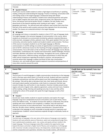|               | presentations. Students will be encouraged to communicate predominately in the<br>language.                                                                                                                                                                                                                                                                                                                                                                                                                                                                                                                                                                                                                                                                                                                                                                                                                                                                                                                                                                                                                                                                                                                                                                                                                                                                                                                                                                               |                                                                 |             |                                                                            |
|---------------|---------------------------------------------------------------------------------------------------------------------------------------------------------------------------------------------------------------------------------------------------------------------------------------------------------------------------------------------------------------------------------------------------------------------------------------------------------------------------------------------------------------------------------------------------------------------------------------------------------------------------------------------------------------------------------------------------------------------------------------------------------------------------------------------------------------------------------------------------------------------------------------------------------------------------------------------------------------------------------------------------------------------------------------------------------------------------------------------------------------------------------------------------------------------------------------------------------------------------------------------------------------------------------------------------------------------------------------------------------------------------------------------------------------------------------------------------------------------------|-----------------------------------------------------------------|-------------|----------------------------------------------------------------------------|
| 6692          | $\rightarrow$ Spanish 4 Honors<br>Fourth-year courses enable students to attain a high degree of proficiency in speaking,<br>reading, writing and understanding the language. Practice in listening, conversation skills<br>and reading novels in the target language is emphasized along with deeper<br>understanding of history and traditions. Students learn advanced grammar and syntax<br>such as highly irregular past tense verbs, progressive tenses, the subjunctive in all its<br>forms, the passive voice and all perfect tenses. In addition, the text studies many<br>places/areas of the Spanish-speaking world, looking at each region's culture,<br>geography and history. You will also work with authentic news articles that come from<br>that part of the world as well as poetry and prose that originates from the area being<br>studied. The classes are conducted entirely in the target language.                                                                                                                                                                                                                                                                                                                                                                                                                                                                                                                                               | $\Box$ CTE<br>$\Box$ Fitness/PE $\Box$ Health<br>$\Box$ Science | $\Box$ Arts | $\boxtimes$ World Language<br>$\square$ Math                               |
| 6800          | $\rightarrow$ AP Spanish<br>AP Language and Culture is intended for students in their 4 <sup>th</sup> /5 <sup>th</sup> year of language study.<br>The target language is the exclusive language of communication in the course, where<br>students are immersed in an environment enriched by authentic materials (literature,<br>online journals, newspaper articles, podcasts music, film), guest speakers from our own<br>community, and active teacher-student and student-student communication. The focus<br>of the course is to prepare students to use the target language as effective<br>communicators in real life settings via variety of opportunities to achieve proficiency in<br>each of ACTFL's (American Council on the Teaching of Foreign Language) three modes of<br>communication. Focus will center on the six themes of every AP language course: Beauty<br>and Esthetics, Contemporary Life, Families and Communities, Global Challenges, Personal<br>and Public Identities and Science and Technology. Throughout the course, students will<br>engage in discussions, reflective writing, and prepare presentations in which they will<br>make cultural comparisons regarding the products, practices, and perspectives of<br>countries where their language is spoken and those of their own communities.<br>Literature, arts, and media will give students exposure to practices and perspectives of<br>many other countries around the world. | $\Box$ CTE<br>$\Box$ Fitness/PE $\Box$ Health<br>$\Box$ Science | $\Box$ Arts | $\boxtimes$ World Language<br>$\square$ Math                               |
| <b>French</b> |                                                                                                                                                                                                                                                                                                                                                                                                                                                                                                                                                                                                                                                                                                                                                                                                                                                                                                                                                                                                                                                                                                                                                                                                                                                                                                                                                                                                                                                                           |                                                                 |             |                                                                            |
|               |                                                                                                                                                                                                                                                                                                                                                                                                                                                                                                                                                                                                                                                                                                                                                                                                                                                                                                                                                                                                                                                                                                                                                                                                                                                                                                                                                                                                                                                                           |                                                                 |             |                                                                            |
| #             | <b>Course Title</b>                                                                                                                                                                                                                                                                                                                                                                                                                                                                                                                                                                                                                                                                                                                                                                                                                                                                                                                                                                                                                                                                                                                                                                                                                                                                                                                                                                                                                                                       | <b>ELECTIVE credit)</b>                                         |             | Credit that can be earned (*other than                                     |
| 6180          | French 1:<br>The first year of a world language is a highly communicative introduction to the language<br>and it is the base upon which levels 2,3,4 and AP are built. Students will learn important<br>vocabulary and grammar and they will be asked to put their knowledge to work in real-<br>life settings. They will be able to talk about their lives, their family and friends, discuss<br>and inquire about weather and pastimes, order food at a restaurant, find their way<br>around a foreign city, and function in new situations. Grammar includes present tense<br>regular and some irregular verbs, adjective agreement, syntax and much more. Students<br>will be reading, writing, listening and speaking every day in class and they will be<br>studying the culture of the people who speak the target language as well as their<br>customs.                                                                                                                                                                                                                                                                                                                                                                                                                                                                                                                                                                                                           | $\Box$ CTE<br>$\Box$ Fitness/PE $\Box$ Health<br>$\Box$ Science | $\Box$ Arts | $\boxtimes$ World Language<br>$\square$ Math                               |
| 6182          | French <sub>2</sub><br>→<br>Second year study enables students to expand vocabulary and explore the target<br>language using more complicated structures and systems such as past tenses, future<br>tense and reflexive verbs, . As students increase their ability to understand, they will be<br>speaking with more confidence and complexity. In addition, they will read short<br>selections and stories at more advanced levels. They will be able to talk about where<br>they live, life after school, clothing, vacations and professions. Classwork will be<br>conducted in the language as much as possible to provide practice in expression and<br>comprehension. Students' cultural awareness expands through a multimedia, hands-on<br>approach.                                                                                                                                                                                                                                                                                                                                                                                                                                                                                                                                                                                                                                                                                                             | $\Box$ CTE<br>$\Box$ Fitness/PE $\Box$ Health<br>$\Box$ Science | $\Box$ Arts | $\boxtimes$ World Language<br>$\square$ Math<br>$\boxtimes$ World Language |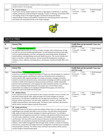|      | projects and presentations. Students will be encouraged to communicate<br>predominately in the language.                                                                                                                                                                                                                                                                                                                                           |                                                                 |             |                                           |
|------|----------------------------------------------------------------------------------------------------------------------------------------------------------------------------------------------------------------------------------------------------------------------------------------------------------------------------------------------------------------------------------------------------------------------------------------------------|-----------------------------------------------------------------|-------------|-------------------------------------------|
| 6212 | <b>French 4 Honors</b><br>Fourth-year courses enable students to attain a high degree of proficiency in speaking,<br>reading, writing and understanding the language. Practice in listening, conversation skills<br>and reading novels in the target language is emphasized along with deeper<br>understanding of history and traditions. Students learn advanced grammar and syntax<br>and classes are conducted entirely in the target language. | $\Box$ CTE<br>$\Box$ Fitness/PE $\Box$ Health<br>$\Box$ Science | $\Box$ Arts | $\boxtimes$ World Language<br>$\Box$ Math |



|                | <b>HEALTH &amp; FITNESS</b>                                                                                                                                                                                                                                                                                                                                                                                                                                                                                                                                                                                                                                                                                                                                                                                                                                                                                                                                                                                                            |                                                                                                                                |  |  |  |
|----------------|----------------------------------------------------------------------------------------------------------------------------------------------------------------------------------------------------------------------------------------------------------------------------------------------------------------------------------------------------------------------------------------------------------------------------------------------------------------------------------------------------------------------------------------------------------------------------------------------------------------------------------------------------------------------------------------------------------------------------------------------------------------------------------------------------------------------------------------------------------------------------------------------------------------------------------------------------------------------------------------------------------------------------------------|--------------------------------------------------------------------------------------------------------------------------------|--|--|--|
| <b>Health</b>  |                                                                                                                                                                                                                                                                                                                                                                                                                                                                                                                                                                                                                                                                                                                                                                                                                                                                                                                                                                                                                                        |                                                                                                                                |  |  |  |
| #              | <b>Course Title</b>                                                                                                                                                                                                                                                                                                                                                                                                                                                                                                                                                                                                                                                                                                                                                                                                                                                                                                                                                                                                                    | Credit that can be earned (*other than<br><b>ELECTIVE credit)</b>                                                              |  |  |  |
| 8591           | Health *** Semester-long course***<br>This required class focuses on a variety of health concepts, skills and behaviors to help<br>you plan for personal and lifelong health goals. You will develop and demonstrate skills,<br>such as analyzing behaviors and their consequences, preventing disease, developing<br>overall wellness, and identifying community health resources. The course includes such<br>topics as nutrition, conflict resolution, Human Growth & Development, emergency<br>situations, stress, addiction and dependency, and diseases. Student & Health CBA in this<br>course.                                                                                                                                                                                                                                                                                                                                                                                                                                 | $\Box$ CTE<br>$\Box$ Arts<br>$\square$ World Language<br>$\Box$ Fitness/PE $\boxtimes$ Health<br>$\Box$ Math<br>$\Box$ Science |  |  |  |
| <b>Fitness</b> |                                                                                                                                                                                                                                                                                                                                                                                                                                                                                                                                                                                                                                                                                                                                                                                                                                                                                                                                                                                                                                        |                                                                                                                                |  |  |  |
| #              | <b>Course Title</b>                                                                                                                                                                                                                                                                                                                                                                                                                                                                                                                                                                                                                                                                                                                                                                                                                                                                                                                                                                                                                    | Credit that can be earned (*other than<br><b>ELECTIVE credit)</b>                                                              |  |  |  |
| 5911           | Intro to Fitness *** Semester-long course***<br>In this first in a series of 3 required semesters of fitness, you will participate in a variety of<br>activities (sports, games, and fitness) in which you will demonstrate competency in<br>activity specific skills; apply knowledge of concepts, principles, strategies and tactics<br>related to movement and performance; demonstrate knowledge and skills to achieve and<br>maintain a health-enhancing level of physical activity and fitness; exhibit responsible<br>personal and social behavior; and recognize the value of physical activity. You will take a<br>look at your individual health behaviors and analyze your current fitness levels,<br>demonstrate your ability to set and adjust individual fitness goals, and create and<br>implement a personal health and fitness plan.                                                                                                                                                                                  | $\Box$ Arts<br>$\Box$ CTE<br>$\Box$ World Language<br>⊠ Fitness/PE<br>$\Box$ Health<br>$\Box$ Math<br>$\Box$ Science           |  |  |  |
| 5912           | $\rightarrow$ Lifetime Fitness<br>In this required course, you will expand on the concepts and skills in Intro to Fitness. You<br>will refine activity specific skills, apply principles and create strategies to improve<br>performance. You will take a leadership role and apply best practices for creating a safe<br>physical activity environment. You will create, implement, monitor, self-assess, and<br>modify a personal fitness and nutrition plan. The fitness center and heart rate monitors<br>will be used to monitor progress towards fitness goals.                                                                                                                                                                                                                                                                                                                                                                                                                                                                  | $\Box$ CTE<br>$\Box$ Arts<br>$\Box$ World Language<br>⊠ Fitness/PE<br>$\Box$ Health<br>$\Box$ Math<br>$\Box$ Science           |  |  |  |
| 8590           | <b>Foods and Fitness</b><br>$\rightarrow$<br>Fitness and Foods can be taken to meet the Lifetime Fitness (Year 2) credit requirement,<br>expanding on the concepts and skills in Intro to Fitness. You will refine activity specific<br>skills, apply principles and create strategies to improve performance. You will take a<br>leadership role and apply best practices for creating a safe physical activity environment.<br>You will create, implement, monitor, self-assess, and modify a personal fitness and<br>nutrition plan. This class offers you the chance to become nutritionally and physically fit!<br>Opportunities are provided to evaluate the attitudes and behaviors related to your<br>wellness. Learn health management skills through foods, nutrition, a variety of activities<br>and exercise, and positive self-image and stress management. Food labs focus on healthy<br>food preparation methods. The fitness center and heart rate monitors will be used to<br>monitor progress towards fitness goals. | $\Box$ Arts<br>$\Box$ CTE<br>$\Box$ World Language<br>$\boxtimes$ Fitness/PE $\Box$ Health<br>$\Box$ Math<br>$\Box$ Science    |  |  |  |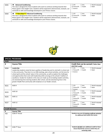| 5935 | <b>Advanced Conditioning</b><br>This class is designed for those students who want to continue working towards their<br>fitness goals in the weight room. Students will be expected to demonstrate, evaluate, use<br>and build on skills and knowledge developed in prior fitness classes.                                    | $\Box$ CTE<br>$\boxtimes$ Fitness/PE $\Box$ Health<br>$\Box$ Science | $\sqcap$ Arts | $\Box$ World Language<br>$\Box$ Math |
|------|-------------------------------------------------------------------------------------------------------------------------------------------------------------------------------------------------------------------------------------------------------------------------------------------------------------------------------|----------------------------------------------------------------------|---------------|--------------------------------------|
| 5934 | → <sup>***</sup> Zero Hour <sup>***</sup> Advanced Conditioning<br>This class is designed for those students who want to continue working towards their<br>fitness goals in the weight room. Students will be expected to demonstrate, evaluate, use<br>and build on skills and knowledge developed in prior fitness classes. | $\Box$ CTE<br>$\boxtimes$ Fitness/PE $\Box$ Health<br>$\Box$ Science | $\Box$ Arts   | $\Box$ World Language<br>$\Box$ Math |



|                        | <b>SPECIAL PROGRAMS</b>                                                                                                                                                                                                                                                                                                                                                                                                                                                                                                                                                                                                                                        |                                                                                                                        |  |  |  |
|------------------------|----------------------------------------------------------------------------------------------------------------------------------------------------------------------------------------------------------------------------------------------------------------------------------------------------------------------------------------------------------------------------------------------------------------------------------------------------------------------------------------------------------------------------------------------------------------------------------------------------------------------------------------------------------------|------------------------------------------------------------------------------------------------------------------------|--|--|--|
| <b>AVID</b>            |                                                                                                                                                                                                                                                                                                                                                                                                                                                                                                                                                                                                                                                                |                                                                                                                        |  |  |  |
| #                      | <b>Course Title</b>                                                                                                                                                                                                                                                                                                                                                                                                                                                                                                                                                                                                                                            | Credit that can be earned (*other than<br><b>ELECTIVE credit)</b>                                                      |  |  |  |
| 9204                   | Leadership<br>Leadership students study the basic qualities of leadership and its role both in school and<br>in the community. They learn to run ASB meetings, plan school activities, set the tone for<br>school spirit and the schools' place in the community, as well as explore the challenges<br>and opportunities that come with leadership while carrying on the schools' tradition of<br>excellence. Grades for students in this class are made up of (1) leading student activities,<br>(2) volunteering time tutoring students after school, and (3) volunteering time in the<br>greater Shadle Park community with emphasis on our feeder schools. | $\Box$ Arts<br>$\Box$ CTE<br>$\Box$ World Language<br>$\Box$ Fitness/PE $\Box$ Health<br>$\Box$ Math<br>$\Box$ Science |  |  |  |
| 9221                   | AVID <sub>9</sub>                                                                                                                                                                                                                                                                                                                                                                                                                                                                                                                                                                                                                                              | $\Box$ CTE<br>$\Box$ Arts<br>$\Box$ World Language<br>$\Box$ Fitness/PE $\Box$ Health<br>$\Box$ Math<br>$\Box$ Science |  |  |  |
| 9223                   | AVID <sub>10</sub>                                                                                                                                                                                                                                                                                                                                                                                                                                                                                                                                                                                                                                             | $\Box$ CTE<br>$\Box$ Arts<br>$\Box$ World Language<br>$\Box$ Fitness/PE $\Box$ Health<br>$\Box$ Math<br>$\Box$ Science |  |  |  |
| 9225                   | AVID <sub>11</sub>                                                                                                                                                                                                                                                                                                                                                                                                                                                                                                                                                                                                                                             | $\Box$ CTE<br>$\Box$ Arts<br>□ World Language<br>$\Box$ Fitness/PE $\Box$ Health<br>$\Box$ Math<br>$\Box$ Science      |  |  |  |
| 9227                   | AVID <sub>12</sub>                                                                                                                                                                                                                                                                                                                                                                                                                                                                                                                                                                                                                                             | $\Box$ Arts<br>$\Box$ CTE<br>$\Box$ World Language<br>$\Box$ Fitness/PE $\Box$ Health<br>$\Box$ Math<br>$\Box$ Science |  |  |  |
| <b>Credit Recovery</b> |                                                                                                                                                                                                                                                                                                                                                                                                                                                                                                                                                                                                                                                                |                                                                                                                        |  |  |  |
| #                      | <b>Course Title</b>                                                                                                                                                                                                                                                                                                                                                                                                                                                                                                                                                                                                                                            |                                                                                                                        |  |  |  |
| 702                    | iCAN 6 <sup>th</sup> Period                                                                                                                                                                                                                                                                                                                                                                                                                                                                                                                                                                                                                                    | Students may earn 0.5 elective credit per semester<br>for additional work within this course.                          |  |  |  |
| 706                    | iCAN 7 <sup>th</sup> Hour                                                                                                                                                                                                                                                                                                                                                                                                                                                                                                                                                                                                                                      | Students DO NOT earn additional credit for these<br>classes beyond the courses in which they are<br>retrieving credit. |  |  |  |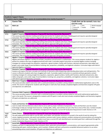|                                   | <b>Academic Support Classes</b><br>***students may be assigned these courses via recommendation from teacher/counselor***                                                                                                                                                                                                                                                                                                                                                                                                                                                                                                                                                                                     |                                                                                                                           |
|-----------------------------------|---------------------------------------------------------------------------------------------------------------------------------------------------------------------------------------------------------------------------------------------------------------------------------------------------------------------------------------------------------------------------------------------------------------------------------------------------------------------------------------------------------------------------------------------------------------------------------------------------------------------------------------------------------------------------------------------------------------|---------------------------------------------------------------------------------------------------------------------------|
| #                                 | <b>Course Title</b>                                                                                                                                                                                                                                                                                                                                                                                                                                                                                                                                                                                                                                                                                           | Credit that can be earned (*other than<br><b>ELECTIVE credit)</b>                                                         |
| 3223                              | <b>Math Lab</b>                                                                                                                                                                                                                                                                                                                                                                                                                                                                                                                                                                                                                                                                                               | $\Box$ CTE<br>$\square$ World Language<br>$\Box$ Arts<br>$\Box$ Fitness/PE $\Box$ Health<br>$\Box$ Math<br>$\Box$ Science |
|                                   | <b>Special Education Courses</b>                                                                                                                                                                                                                                                                                                                                                                                                                                                                                                                                                                                                                                                                              |                                                                                                                           |
| 9701                              | English 9 Targeted ** Special Education Program/IEP Goal Area Required for Placement***<br>This course provides intensive reading and writing intervention for students who have a Reading goal and requires specially designed<br>instruction. The curriculum content is aligned with district approved 9th grade curriculum.                                                                                                                                                                                                                                                                                                                                                                                |                                                                                                                           |
| 9702                              | English 10 Targeted **Special Education Program/IEP Goal Area Required for Placement***<br>This course provides intensive reading and writing intervention for students who have a Reading goal and requires specially designed<br>instruction. The curriculum content is aligned with district approved 10th grade curriculum.                                                                                                                                                                                                                                                                                                                                                                               |                                                                                                                           |
| 9703                              | English 11 Targeted ** Special Education Program/IEP Goal Area Required for Placement ***<br>This course provides intensive reading and writing intervention for students who have a Reading goal and requires specially designed<br>instruction. The curriculum content is aligned with district approved 11th grade curriculum.                                                                                                                                                                                                                                                                                                                                                                             |                                                                                                                           |
| 9904                              | English 12 Targeted **Special Education Program/IEP Goal Area Required for Placement***<br>This course provides intensive reading and writing intervention for students who have a Reading goal and requires specially designed<br>instruction. The curriculum content is aligned with district approved 12th grade curriculum.                                                                                                                                                                                                                                                                                                                                                                               |                                                                                                                           |
| 9740                              | Algebra 1 Targeted **Special Education Program/IEP Goal Area Required for Placement***<br>Algebra will weave together a variety of concepts, procedures and processes in mathematics. This course prepares students for algebra-<br>perfect for students who have struggled previously with math. It provides explicit instruction on essential algebra content including<br>strategies for solving straight line equations, exponents, signed numbers, facility with fractions, decimals and percents, data tables and<br>graphs, and a wide range of word problems involving rate, proportion, probability, and algebraic solutions. Curriculum aligns with district<br>approved Algebra curriculum.        |                                                                                                                           |
| 9742                              | Geometry Targeted ** Special Education Program/IEP Goal Area Required for Placement***<br>Students will explore the basic concepts and methods of Geometry while deepening understanding about plane and solid geometry. This<br>course is offered to students who have struggled with math. It provides explicit instruction on essential and basic geometry content<br>including strategies for solving straight-line equations, exponents, signed numbers, facility with fractions, decimals and percents, data<br>tables and graphs, and a wide range of word problems involving rare, proportion, probability, and algebraic solutions. Curriculum aligns<br>with district approved Geometry curriculum. |                                                                                                                           |
| 9748                              | Math Year 3 Targeted ** Special Education Program/IEP Goal Area Required for Placement***<br>This course provides explicit instruction with a continued emphasis on problem solving related to mathematical applications seen in the<br>world. This course is designed for students with IEP goals in math who have already completed Algebra and Geometry targeted. IEP goals<br>and objectives are addressed.                                                                                                                                                                                                                                                                                               |                                                                                                                           |
| 9733                              | Consumer Math Targeted A **Special Education Program/IEP Goal Area Required for Placement***<br>This course provides explicit instruction with a continued emphasis on problem solving related to real world mathematical applications<br>seen in the world. This course is designed for students with IEP goals in math who have already completed Algebra and Geometry targeted.<br>IEP goals and objectives are addressed.                                                                                                                                                                                                                                                                                 |                                                                                                                           |
| 7400                              | Foods and Nutrition SDI **Special Education Program/IEP Goal Area Required for Placement***<br>Learn to make informed decisions about what to eat as well as proper methods of preparation. Foods and Nutrition uses the newest<br>technology to help you manage food resources. Cooking skills, safety, and nutrition are just a few focus areas of this class. Content includes<br>food artistry, global food issues, and kitchen management Prerequisite: Current IEP Graduation Requirement Credit: Elective or CTE                                                                                                                                                                                       |                                                                                                                           |
| 7640<br>$(10^{th} -$<br>$12^{th}$ | Career Choices **Special Education Program/IEP Goal Area Required for Placement***<br>You will understand and be able to use the skills, work habits, and attitudes necessary to succeed in the world of work by taking this<br>course. Applied economics, job search and retention, business math, human relations, problem solving and communications are among the<br>components of this class. Prerequisite: Student must have a current IEP with identified post-secondary goal that is addressed through the<br>course. Graduation Requirement Credit: Elective or CTE                                                                                                                                  |                                                                                                                           |
| 9773                              | Social Skills ** Special Education Program/IEP Goal Area Required for Placement***<br>Students will learn to appropriately meet and greet others, generate and participate in conversations, and respond appropriately while<br>interacting with peers, authority figures, and co-workers. Students will learn and practice acceptable behavioral patterns to use when<br>encountering various social situations. IEP goals and objectives are addressed.                                                                                                                                                                                                                                                     |                                                                                                                           |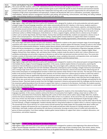| 9525            | Career and Academic Prep (CAP) **Special Education Program/IEP Goal Area Required for Placement***                                                                                                                                                                                         |
|-----------------|--------------------------------------------------------------------------------------------------------------------------------------------------------------------------------------------------------------------------------------------------------------------------------------------|
| $(9th-10^{th})$ | This course will offer students, with an IEP; individualized teacher directed specially designed instruction in their content eligible areas.                                                                                                                                              |
|                 | Students complete required course work, define transition goals as part of their IEP specific to areas of interest and movement towards                                                                                                                                                    |
| 9527            | postsecondary pursuits. Students will develop their independent learning skills as they respond to opportunities for self-evaluation and                                                                                                                                                   |
| $(10^{th} -$    | navigation of high school responsibilities and expectations. Students will develop life skills such as attendance, punctuality, organization,                                                                                                                                              |
| $12^{th}$ )     | responsibilities, attitude, behavior management and effort, goal setting, self-monitoring, communication, note taking, test taking, textbook<br>usage, understanding needed accommodations, and increase self-advocacy skills.                                                             |
|                 |                                                                                                                                                                                                                                                                                            |
|                 | <b>ELD English Courses</b>                                                                                                                                                                                                                                                                 |
| 1261            | Edge English 1 ** EDGE Testing, ELD Program Enrollment Required**                                                                                                                                                                                                                          |
|                 | Edge English 1 aligns with both CCSS ELA as well as ELP standards, and is designed for students at the early production and early speech                                                                                                                                                   |
|                 | emergent stages of second language acquisition, and is taken concurrently with the ELD 1 elective. In this course, students examine a                                                                                                                                                      |
|                 | breadth of texts including short stories, poetry, drama, essays, memoirs, historical articles, news features, speeches, and expository works<br>that centralize around common themes of identity and culture. In each unit, the course examines a variety of texts in one of the following |
|                 | sub-themes: personal identity, collective wisdom, global perspectives, survival, group identity, and goal setting. From the works of such                                                                                                                                                  |
|                 | well-known authors as William Shakespeare, Emily Dickinson, O. Henry, Langston Hughes, and Gary Soto to a diverse array of modern                                                                                                                                                          |
|                 | authors such as Carmen Agra Deedy, Kofi Asare Opoku, Yeemay Chan and Naomi Shihab Nye, students are exposed to a diverse array of                                                                                                                                                          |
|                 | author voices and perspectives. From these diverse readings, students gather textual evidence to support their claims in academic                                                                                                                                                          |
|                 | discussions, oral presentations, and written responses in a variety of modes including argumentative, informational, and narrative writing.                                                                                                                                                |
| 1262            | Edge English 2 ** EDGE Testing, ELD Program Enrollment Required**                                                                                                                                                                                                                          |
|                 | This course aligns with both CCSS ELA as well as ELP standards, is designed for students at the speech emergent stage of second language                                                                                                                                                   |
|                 | acquisition and is taken concurrently with the ELD 2 elective. In this course, students explore the thematic concept of culture in the context                                                                                                                                             |
|                 | of personal and environmental influences. Students analyze literary elements and author purpose in short works of fiction and compare                                                                                                                                                      |
|                 | these with literary development in a longer work of fiction. Also included in the course is an examination of figurative language and poetic                                                                                                                                               |
|                 | devices, as well as an analysis of dramatic script. From the readings of Sandra Cisneros, Amy Tan, Gary Soto, Langston Hughes, Maya                                                                                                                                                        |
|                 | Angelou, Richard Peck, Rene Saldana, Saki, and Andrea Davis Pinkney, students study the extent to which one's culture influences one's                                                                                                                                                     |
|                 | worldview and develop oral and written responses to literature as well as their own personal narrative and short story. The course also<br>includes a variety of information texts including articles, biographies, essays, workplace documents, and expository texts, and students        |
|                 | gather evidence from these texts to support claims in their own argumentative and informational texts.                                                                                                                                                                                     |
| 1263            | Edge English 3 ** EDGE Testing, ELD Program Enrollment Required**                                                                                                                                                                                                                          |
|                 | Edge English 3 aligns with both CCSS ELA as well as ELP standards and is designed for students at the advanced speech emergent/beginning                                                                                                                                                   |
|                 | intermediate fluency stages of second language acquisition. In this course, students explore themes of social justice, examining the                                                                                                                                                       |
|                 | external an internal influences on personal and societal change. The course begins with a collection of short historical-fiction works by                                                                                                                                                  |
|                 | Langston Hughes, Guy de Maupassant and John Steinbeck, followed by contemporary works including a refugee memoir by Farah Ahmedi                                                                                                                                                           |
|                 | and a coming-of-age novel set in contemporary Harlem. Students examine the historical, cultural and social contexts influencing each of                                                                                                                                                    |
|                 | these works and prepare an autobiographical narrative in which they examine similar themes in their own lives. The next part of the course                                                                                                                                                 |
|                 | builds on the previous themes in that students read a selection of non-fiction texts from a diverse group of writers in which the author's                                                                                                                                                 |
|                 | purpose and point of view are significantly influenced by social and cultural contexts as well as a desire to express their voice. Students                                                                                                                                                |
|                 | read and analyze these selections to prepare for an argumentative essay in which they write about a topic that they feel strongly about in                                                                                                                                                 |
|                 | light of their own social and cultural contexts. In the second half of the course, students examine the social challenges and potential for the<br>American Dream. They look closely at works from the Civil Rights movement in America and examine both the challenges and the heroes of  |
|                 | the movement, gathering evidence from the texts to support their claims in a response to the literature. And finally, the students examine                                                                                                                                                 |
|                 | their own dreams, developing the skills necessary to conduct research and cite sources in preparation of a research report on a career path                                                                                                                                                |
|                 | tied to their own American Dream.                                                                                                                                                                                                                                                          |
| 1264            | Edge English 4 ** EDGE Testing, ELD Program Enrollment Required**                                                                                                                                                                                                                          |
|                 | This course aligns with both CCSS ELA as well as ELP standards and is designed for students at the intermediate fluency stage of second                                                                                                                                                    |
|                 | language acquisition. In this course, students continue the theme of social justice from English 3, taking a closer look at conflict in its                                                                                                                                                |
|                 | various forms, particularly that of inhumanity. Beginning with a series of short stories and an author study of Edgar Allen Poe, students                                                                                                                                                  |
|                 | examine the literary development of internal conflict and the effect of fear on an audience. At the end of this unit, the students develop a                                                                                                                                               |
|                 | short story of their own that builds on what they have learned about purpose, audience and the development of plot through conflict,                                                                                                                                                       |
|                 | character, and setting. Students then take an intense look at conflict and inhumanity in a novel study as they read The Other Side of the Sky                                                                                                                                              |
|                 | by Farah Ahmedi, a refugee autobiography. Students develop skills for citing textual evidence to support claims in a literary response essay.<br>The second half of the course will focus on current events and will examine how media shapes the way people think about conflict and      |
|                 | social justice. Students will examine the use of argument in the media and will learn skills necessary to critically evaluate sources of                                                                                                                                                   |
|                 | information. And finally, students will examine the sub-theme of community, focusing on justice issues of conflict and unity within the                                                                                                                                                    |
|                 | genres of drama and poetry. From these readings, students gather textual evidence to support their claims in academic discussions, oral                                                                                                                                                    |
|                 | presentations, and written responses.                                                                                                                                                                                                                                                      |
|                 |                                                                                                                                                                                                                                                                                            |
|                 |                                                                                                                                                                                                                                                                                            |
|                 |                                                                                                                                                                                                                                                                                            |
|                 |                                                                                                                                                                                                                                                                                            |
| 1289            | Edge English 5 ** EDGE Testing, ELD Program Enrollment Required**                                                                                                                                                                                                                          |
|                 | Edge English 5 aligns with both CCSS ELA as well as ELP standards and is designed for students at the beginning of the advanced fluency                                                                                                                                                    |
|                 | stage of second language acquisition. In this course, students examine a wide range of texts including novels, short stories, poetry, drama,                                                                                                                                               |
|                 | essays, articles, interviews, and expository works that focus on the global theme of relationships. In each unit, the course examines a                                                                                                                                                    |